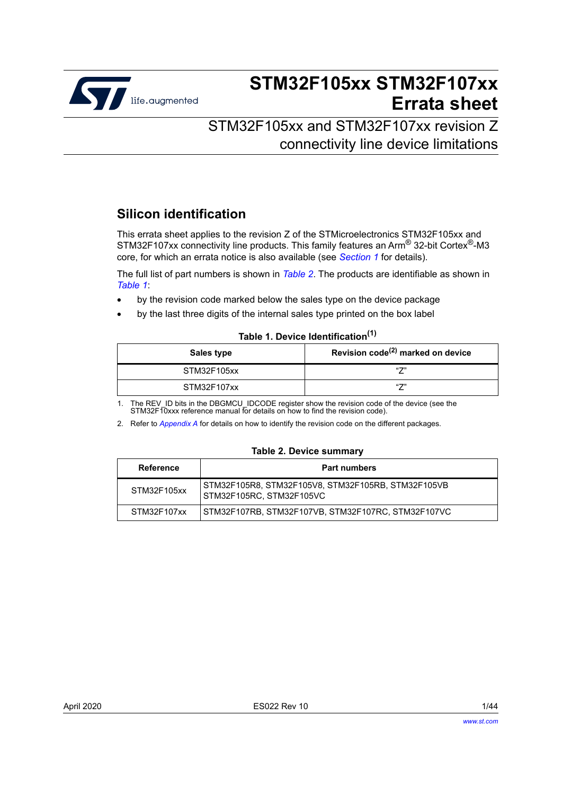

# **STM32F105xx STM32F107xx Errata sheet**

# STM32F105xx and STM32F107xx revision Z connectivity line device limitations

# **Silicon identification**

This errata sheet applies to the revision Z of the STMicroelectronics STM32F105xx and STM32F107xx connectivity line products. This family features an Arm® 32-bit Cortex®-M3 core, for which an errata notice is also available (see *[Section](#page-6-0) 1* for details).

The full list of part numbers is shown in *[Table](#page-0-0) 2*. The products are identifiable as shown in *[Table](#page-0-1) 1*:

- by the revision code marked below the sales type on the device package
- by the last three digits of the internal sales type printed on the box label

#### **Table 1. Device Identification(1)**

<span id="page-0-1"></span>

| Sales type  | Revision $code^{(2)}$ marked on device |
|-------------|----------------------------------------|
| STM32F105xx | 471                                    |
| STM32F107xx | 471                                    |

1. The REV\_ID bits in the DBGMCU\_IDCODE register show the revision code of the device (see the STM32F10xxx reference manual for details on how to find the revision code).

2. Refer to *[Appendix A](#page-38-0)* for details on how to identify the revision code on the different packages.

#### **Table 2. Device summary**

<span id="page-0-0"></span>

| <b>Reference</b> | <b>Part numbers</b>                                                              |  |
|------------------|----------------------------------------------------------------------------------|--|
| STM32F105xx      | STM32F105R8, STM32F105V8, STM32F105RB, STM32F105VB<br>l STM32F105RC. STM32F105VC |  |
| STM32F107xx      | STM32F107RB, STM32F107VB, STM32F107RC, STM32F107VC                               |  |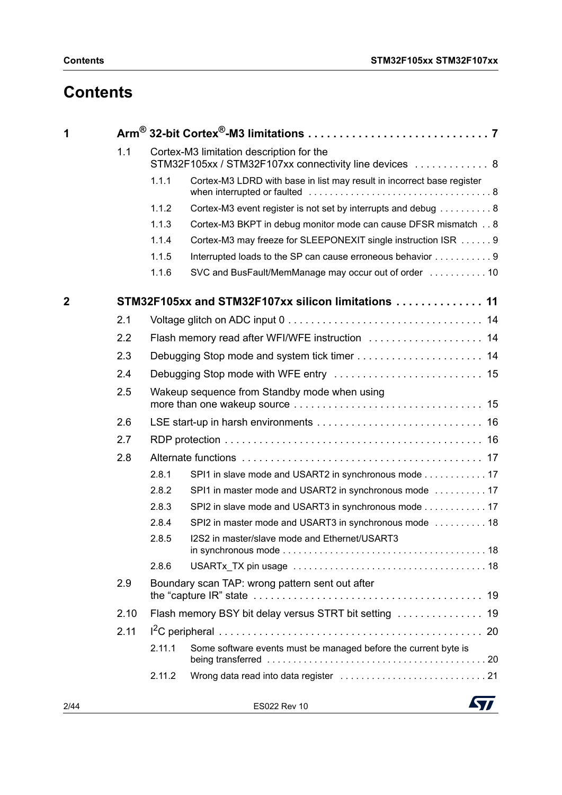# **Contents**

| 1              |      |        |                                                                                                    |    |
|----------------|------|--------|----------------------------------------------------------------------------------------------------|----|
|                | 1.1  |        | Cortex-M3 limitation description for the<br>STM32F105xx / STM32F107xx connectivity line devices  8 |    |
|                |      | 1.1.1  | Cortex-M3 LDRD with base in list may result in incorrect base register                             |    |
|                |      | 1.1.2  | Cortex-M3 event register is not set by interrupts and debug 8                                      |    |
|                |      | 1.1.3  | Cortex-M3 BKPT in debug monitor mode can cause DFSR mismatch 8                                     |    |
|                |      | 1.1.4  | Cortex-M3 may freeze for SLEEPONEXIT single instruction ISR 9                                      |    |
|                |      | 1.1.5  | Interrupted loads to the SP can cause erroneous behavior 9                                         |    |
|                |      | 1.1.6  |                                                                                                    |    |
| $\overline{2}$ |      |        | STM32F105xx and STM32F107xx silicon limitations  11                                                |    |
|                | 2.1  |        |                                                                                                    |    |
|                | 2.2  |        | Flash memory read after WFI/WFE instruction  14                                                    |    |
|                | 2.3  |        |                                                                                                    |    |
|                | 2.4  |        |                                                                                                    |    |
|                | 2.5  |        | Wakeup sequence from Standby mode when using                                                       |    |
|                | 2.6  |        |                                                                                                    |    |
|                | 2.7  |        |                                                                                                    |    |
|                | 2.8  |        |                                                                                                    |    |
|                |      | 2.8.1  | SPI1 in slave mode and USART2 in synchronous mode 17                                               |    |
|                |      | 2.8.2  | SPI1 in master mode and USART2 in synchronous mode  17                                             |    |
|                |      | 2.8.3  | SPI2 in slave mode and USART3 in synchronous mode 17                                               |    |
|                |      | 2.8.4  | SPI2 in master mode and USART3 in synchronous mode  18                                             |    |
|                |      | 2.8.5  | I2S2 in master/slave mode and Ethernet/USART3                                                      |    |
|                |      | 2.8.6  |                                                                                                    |    |
|                | 2.9  |        | Boundary scan TAP: wrong pattern sent out after                                                    |    |
|                | 2.10 |        | Flash memory BSY bit delay versus STRT bit setting                                                 | 19 |
|                | 2.11 |        |                                                                                                    |    |
|                |      | 2.11.1 | Some software events must be managed before the current byte is                                    |    |
|                |      | 2.11.2 |                                                                                                    |    |

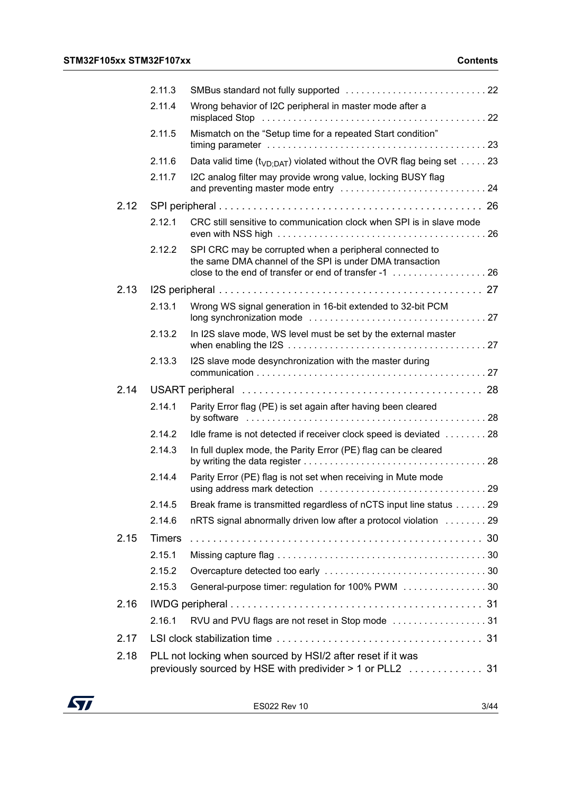|      | 2.11.3        |                                                                                                                          |  |
|------|---------------|--------------------------------------------------------------------------------------------------------------------------|--|
|      | 2.11.4        | Wrong behavior of I2C peripheral in master mode after a                                                                  |  |
|      | 2.11.5        | Mismatch on the "Setup time for a repeated Start condition"                                                              |  |
|      | 2.11.6        | Data valid time ( $t_{VD:DAT}$ ) violated without the OVR flag being set  23                                             |  |
|      | 2.11.7        | I2C analog filter may provide wrong value, locking BUSY flag                                                             |  |
| 2.12 |               |                                                                                                                          |  |
|      | 2.12.1        | CRC still sensitive to communication clock when SPI is in slave mode                                                     |  |
|      | 2.12.2        | SPI CRC may be corrupted when a peripheral connected to<br>the same DMA channel of the SPI is under DMA transaction      |  |
| 2.13 |               |                                                                                                                          |  |
|      | 2.13.1        | Wrong WS signal generation in 16-bit extended to 32-bit PCM                                                              |  |
|      | 2.13.2        | In I2S slave mode, WS level must be set by the external master                                                           |  |
|      | 2.13.3        | I2S slave mode desynchronization with the master during                                                                  |  |
| 2.14 |               |                                                                                                                          |  |
|      | 2.14.1        | Parity Error flag (PE) is set again after having been cleared                                                            |  |
|      | 2.14.2        | Idle frame is not detected if receiver clock speed is deviated 28                                                        |  |
|      | 2.14.3        | In full duplex mode, the Parity Error (PE) flag can be cleared                                                           |  |
|      | 2.14.4        | Parity Error (PE) flag is not set when receiving in Mute mode                                                            |  |
|      |               | 2.14.5 Break frame is transmitted regardless of nCTS input line status 29                                                |  |
|      | 2.14.6        | nRTS signal abnormally driven low after a protocol violation 29                                                          |  |
| 2.15 | <b>Timers</b> |                                                                                                                          |  |
|      | 2.15.1        |                                                                                                                          |  |
|      | 2.15.2        |                                                                                                                          |  |
|      | 2.15.3        | General-purpose timer: regulation for 100% PWM 30                                                                        |  |
| 2.16 |               |                                                                                                                          |  |
|      | 2.16.1        | RVU and PVU flags are not reset in Stop mode 31                                                                          |  |
| 2.17 |               |                                                                                                                          |  |
| 2.18 |               | PLL not locking when sourced by HSI/2 after reset if it was<br>previously sourced by HSE with predivider > 1 or PLL2  31 |  |
|      |               |                                                                                                                          |  |

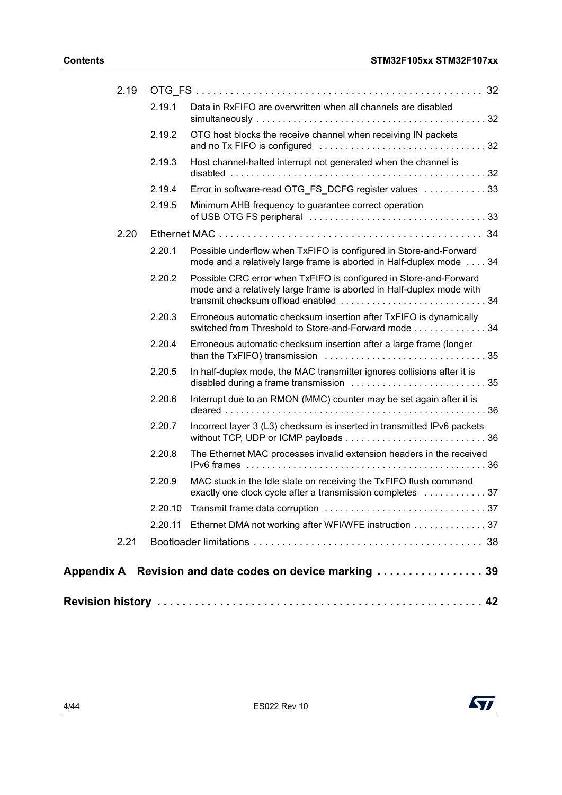| 2.19 |         |                                                                                                                                            |
|------|---------|--------------------------------------------------------------------------------------------------------------------------------------------|
|      | 2.19.1  | Data in RxFIFO are overwritten when all channels are disabled                                                                              |
|      | 2.19.2  | OTG host blocks the receive channel when receiving IN packets                                                                              |
|      | 2.19.3  | Host channel-halted interrupt not generated when the channel is                                                                            |
|      | 2.19.4  | Error in software-read OTG_FS_DCFG register values  33                                                                                     |
|      | 2.19.5  | Minimum AHB frequency to guarantee correct operation                                                                                       |
| 2.20 |         |                                                                                                                                            |
|      | 2.20.1  | Possible underflow when TxFIFO is configured in Store-and-Forward<br>mode and a relatively large frame is aborted in Half-duplex mode  34  |
|      | 2.20.2  | Possible CRC error when TxFIFO is configured in Store-and-Forward<br>mode and a relatively large frame is aborted in Half-duplex mode with |
|      | 2.20.3  | Erroneous automatic checksum insertion after TxFIFO is dynamically<br>switched from Threshold to Store-and-Forward mode 34                 |
|      | 2.20.4  | Erroneous automatic checksum insertion after a large frame (longer                                                                         |
|      | 2.20.5  | In half-duplex mode, the MAC transmitter ignores collisions after it is                                                                    |
|      | 2.20.6  | Interrupt due to an RMON (MMC) counter may be set again after it is                                                                        |
|      | 2.20.7  | Incorrect layer 3 (L3) checksum is inserted in transmitted IPv6 packets                                                                    |
|      | 2.20.8  | The Ethernet MAC processes invalid extension headers in the received                                                                       |
|      | 2.20.9  | MAC stuck in the Idle state on receiving the TxFIFO flush command<br>exactly one clock cycle after a transmission completes  37            |
|      |         |                                                                                                                                            |
|      | 2.20.11 | Ethernet DMA not working after WFI/WFE instruction 37                                                                                      |
| 2.21 |         |                                                                                                                                            |
|      |         | Appendix A Revision and date codes on device marking  39                                                                                   |
|      |         |                                                                                                                                            |
|      |         |                                                                                                                                            |

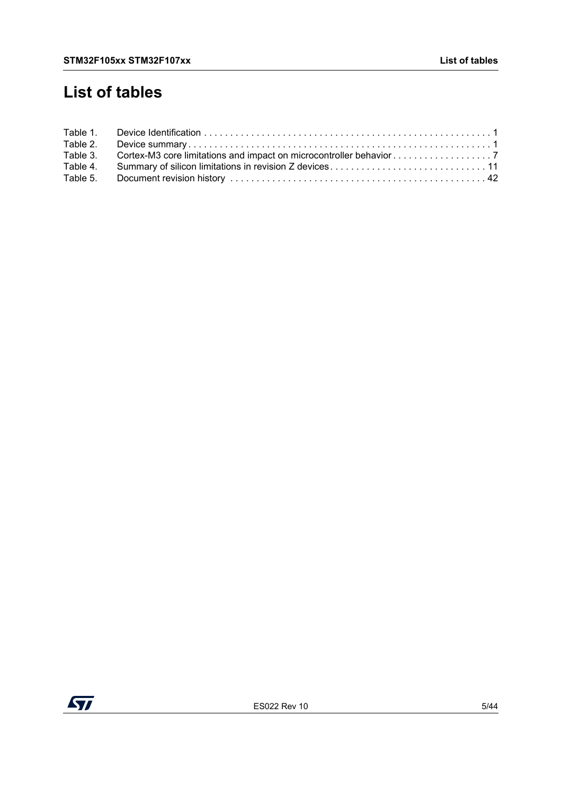# **List of tables**

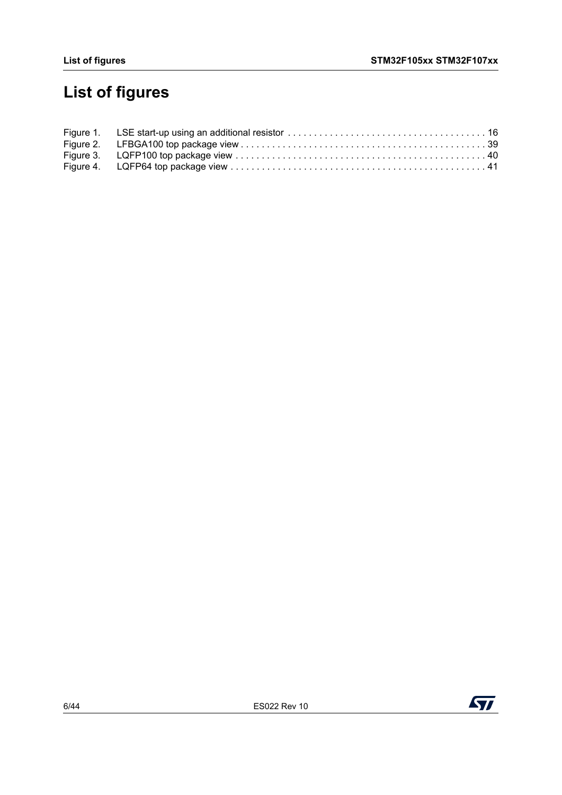# **List of figures**

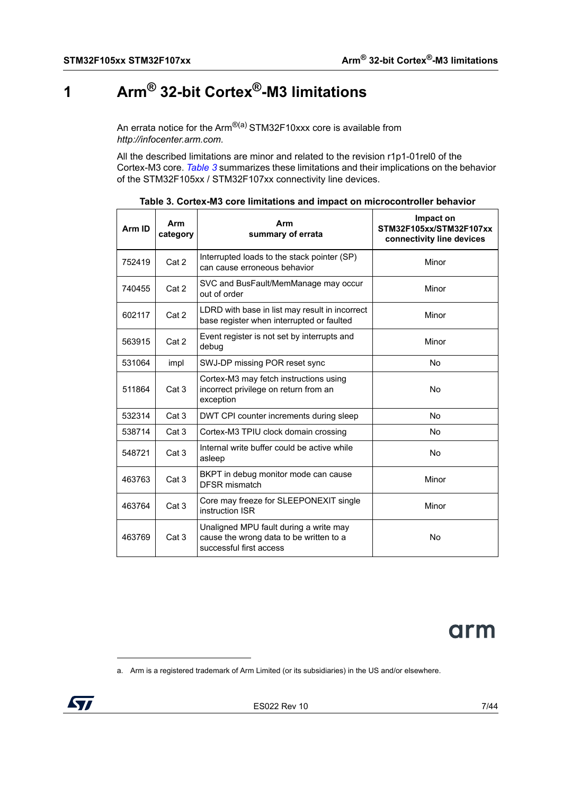# <span id="page-6-1"></span>**1 Arm® 32-bit Cortex®-M3 limitations**

<span id="page-6-0"></span>An errata notice for the Arm $^{\circledR(a)}$  STM32F10xxx core is available from *http://infocenter.arm.com.*

All the described limitations are minor and related to the revision r1p1-01rel0 of the Cortex-M3 core. *[Table](#page-6-2) 3* summarizes these limitations and their implications on the behavior of the STM32F105xx / STM32F107xx connectivity line devices.

<span id="page-6-2"></span>

| Arm ID | Arm<br>category  | Arm<br>summary of errata                                                                                     | Impact on<br>STM32F105xx/STM32F107xx<br>connectivity line devices |
|--------|------------------|--------------------------------------------------------------------------------------------------------------|-------------------------------------------------------------------|
| 752419 | Cat 2            | Interrupted loads to the stack pointer (SP)<br>can cause erroneous behavior                                  | Minor                                                             |
| 740455 | Cat 2            | SVC and BusFault/MemManage may occur<br>out of order                                                         | Minor                                                             |
| 602117 | Cat 2            | LDRD with base in list may result in incorrect<br>base register when interrupted or faulted                  | Minor                                                             |
| 563915 | Cat 2            | Event register is not set by interrupts and<br>debug                                                         | Minor                                                             |
| 531064 | impl             | SWJ-DP missing POR reset sync                                                                                | No.                                                               |
| 511864 | Cat 3            | Cortex-M3 may fetch instructions using<br>incorrect privilege on return from an<br>exception                 | No                                                                |
| 532314 | Cat <sub>3</sub> | DWT CPI counter increments during sleep                                                                      | <b>No</b>                                                         |
| 538714 | Cat 3            | Cortex-M3 TPIU clock domain crossing                                                                         | <b>No</b>                                                         |
| 548721 | Cat <sub>3</sub> | Internal write buffer could be active while<br>asleep                                                        | No                                                                |
| 463763 | Cat <sub>3</sub> | BKPT in debug monitor mode can cause<br><b>DFSR</b> mismatch                                                 | Minor                                                             |
| 463764 | Cat 3            | Core may freeze for SLEEPONEXIT single<br>instruction ISR                                                    | Minor                                                             |
| 463769 | Cat 3            | Unaligned MPU fault during a write may<br>cause the wrong data to be written to a<br>successful first access | No                                                                |

**Table 3. Cortex-M3 core limitations and impact on microcontroller behavior**



a. Arm is a registered trademark of Arm Limited (or its subsidiaries) in the US and/or elsewhere.

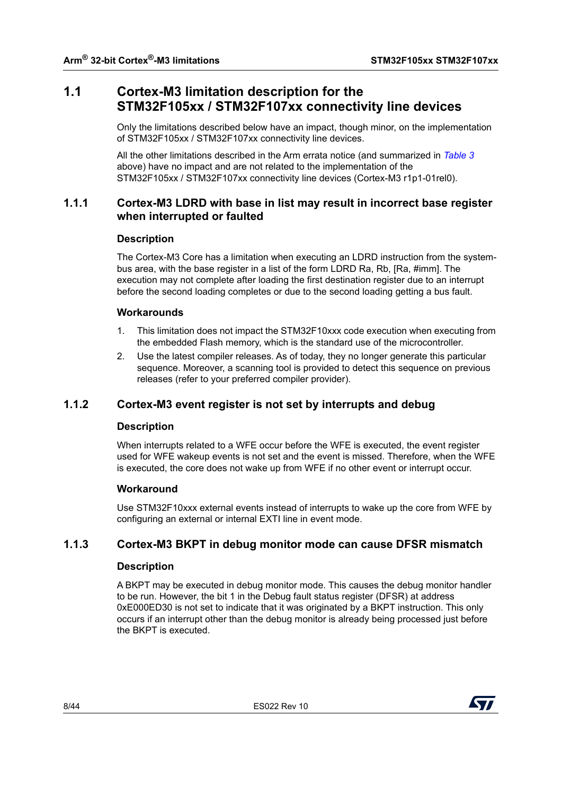# <span id="page-7-0"></span>**1.1 Cortex-M3 limitation description for the STM32F105xx / STM32F107xx connectivity line devices**

Only the limitations described below have an impact, though minor, on the implementation of STM32F105xx / STM32F107xx connectivity line devices.

All the other limitations described in the Arm errata notice (and summarized in *[Table](#page-6-2) 3* above) have no impact and are not related to the implementation of the STM32F105xx / STM32F107xx connectivity line devices (Cortex-M3 r1p1-01rel0).

# <span id="page-7-1"></span>**1.1.1 Cortex-M3 LDRD with base in list may result in incorrect base register when interrupted or faulted**

## **Description**

The Cortex-M3 Core has a limitation when executing an LDRD instruction from the systembus area, with the base register in a list of the form LDRD Ra, Rb, [Ra, #imm]. The execution may not complete after loading the first destination register due to an interrupt before the second loading completes or due to the second loading getting a bus fault.

# **Workarounds**

- 1. This limitation does not impact the STM32F10xxx code execution when executing from the embedded Flash memory, which is the standard use of the microcontroller.
- 2. Use the latest compiler releases. As of today, they no longer generate this particular sequence. Moreover, a scanning tool is provided to detect this sequence on previous releases (refer to your preferred compiler provider).

# <span id="page-7-2"></span>**1.1.2 Cortex-M3 event register is not set by interrupts and debug**

## **Description**

When interrupts related to a WFE occur before the WFE is executed, the event register used for WFE wakeup events is not set and the event is missed. Therefore, when the WFE is executed, the core does not wake up from WFE if no other event or interrupt occur.

## **Workaround**

Use STM32F10xxx external events instead of interrupts to wake up the core from WFE by configuring an external or internal EXTI line in event mode.

# <span id="page-7-3"></span>**1.1.3 Cortex-M3 BKPT in debug monitor mode can cause DFSR mismatch**

## **Description**

A BKPT may be executed in debug monitor mode. This causes the debug monitor handler to be run. However, the bit 1 in the Debug fault status register (DFSR) at address 0xE000ED30 is not set to indicate that it was originated by a BKPT instruction. This only occurs if an interrupt other than the debug monitor is already being processed just before the BKPT is executed.

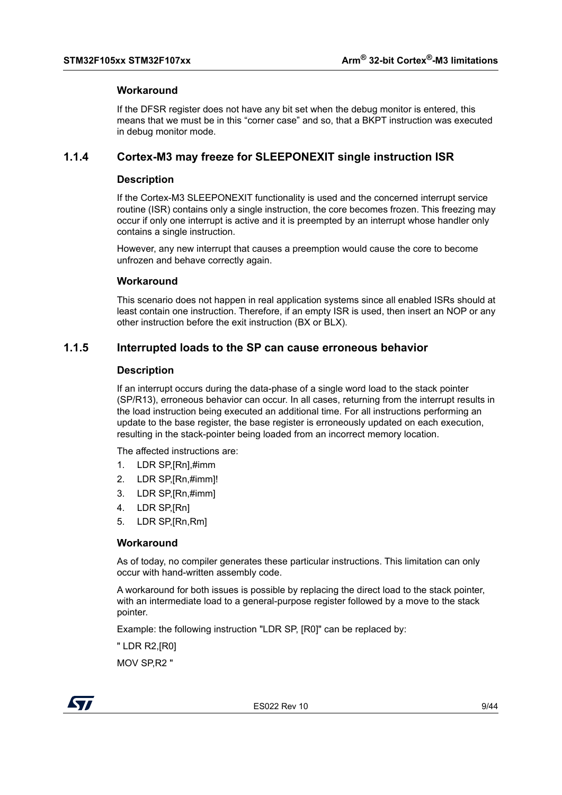#### **Workaround**

If the DFSR register does not have any bit set when the debug monitor is entered, this means that we must be in this "corner case" and so, that a BKPT instruction was executed in debug monitor mode.

# <span id="page-8-0"></span>**1.1.4 Cortex-M3 may freeze for SLEEPONEXIT single instruction ISR**

#### **Description**

If the Cortex-M3 SLEEPONEXIT functionality is used and the concerned interrupt service routine (ISR) contains only a single instruction, the core becomes frozen. This freezing may occur if only one interrupt is active and it is preempted by an interrupt whose handler only contains a single instruction.

However, any new interrupt that causes a preemption would cause the core to become unfrozen and behave correctly again.

#### **Workaround**

This scenario does not happen in real application systems since all enabled ISRs should at least contain one instruction. Therefore, if an empty ISR is used, then insert an NOP or any other instruction before the exit instruction (BX or BLX).

# <span id="page-8-1"></span>**1.1.5 Interrupted loads to the SP can cause erroneous behavior**

#### **Description**

If an interrupt occurs during the data-phase of a single word load to the stack pointer (SP/R13), erroneous behavior can occur. In all cases, returning from the interrupt results in the load instruction being executed an additional time. For all instructions performing an update to the base register, the base register is erroneously updated on each execution, resulting in the stack-pointer being loaded from an incorrect memory location.

The affected instructions are:

- 1. LDR SP,[Rn],#imm
- 2. LDR SP,[Rn,#imm]!
- 3. LDR SP,[Rn,#imm]
- 4. LDR SP,[Rn]
- 5. LDR SP,[Rn,Rm]

#### **Workaround**

As of today, no compiler generates these particular instructions. This limitation can only occur with hand-written assembly code.

A workaround for both issues is possible by replacing the direct load to the stack pointer, with an intermediate load to a general-purpose register followed by a move to the stack pointer.

Example: the following instruction "LDR SP, [R0]" can be replaced by:

" LDR R2,[R0]

MOV SP,R2 "

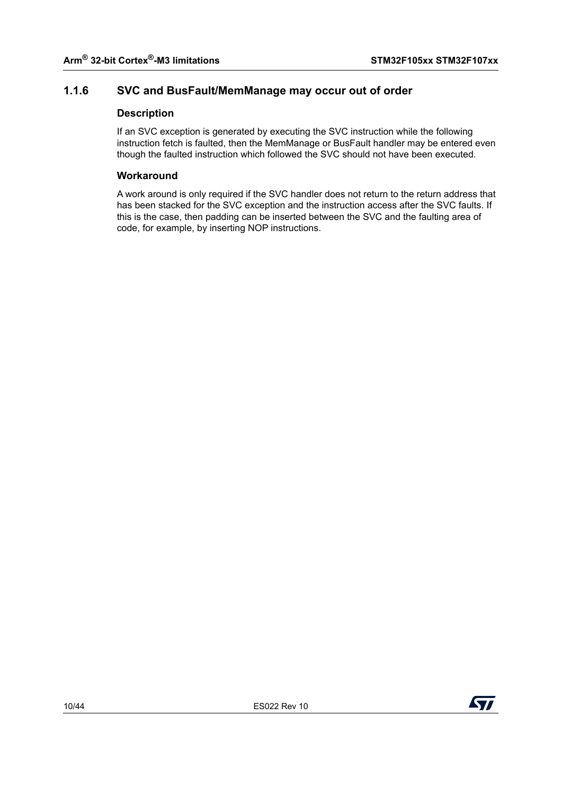# <span id="page-9-0"></span>**1.1.6 SVC and BusFault/MemManage may occur out of order**

# **Description**

If an SVC exception is generated by executing the SVC instruction while the following instruction fetch is faulted, then the MemManage or BusFault handler may be entered even though the faulted instruction which followed the SVC should not have been executed.

## **Workaround**

A work around is only required if the SVC handler does not return to the return address that has been stacked for the SVC exception and the instruction access after the SVC faults. If this is the case, then padding can be inserted between the SVC and the faulting area of code, for example, by inserting NOP instructions.

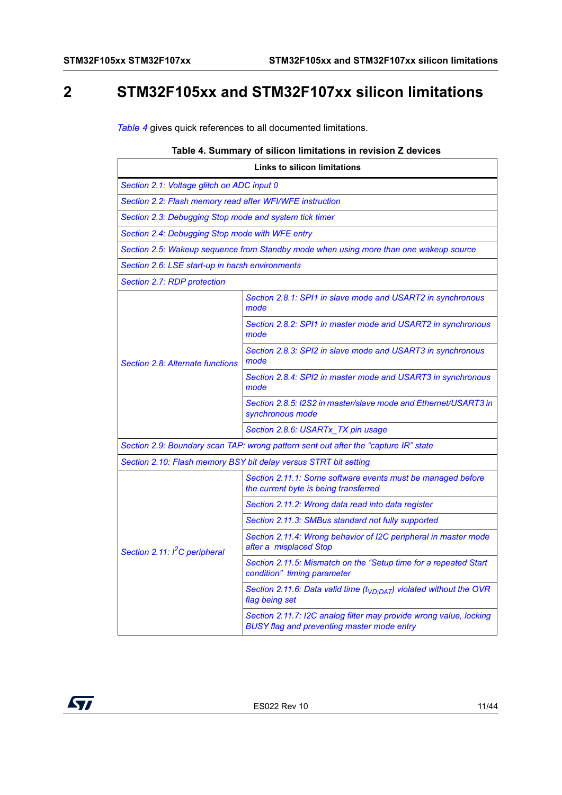# <span id="page-10-0"></span>**2 STM32F105xx and STM32F107xx silicon limitations**

*[Table](#page-10-1) 4* gives quick references to all documented limitations.

#### **Table 4. Summary of silicon limitations in revision Z devices**

<span id="page-10-1"></span>

| <b>Links to silicon limitations</b>                                                 |                                                                                                                         |  |
|-------------------------------------------------------------------------------------|-------------------------------------------------------------------------------------------------------------------------|--|
| Section 2.1: Voltage glitch on ADC input 0                                          |                                                                                                                         |  |
| Section 2.2: Flash memory read after WFI/WFE instruction                            |                                                                                                                         |  |
| Section 2.3: Debugging Stop mode and system tick timer                              |                                                                                                                         |  |
| Section 2.4: Debugging Stop mode with WFE entry                                     |                                                                                                                         |  |
|                                                                                     | Section 2.5: Wakeup sequence from Standby mode when using more than one wakeup source                                   |  |
| Section 2.6: LSE start-up in harsh environments                                     |                                                                                                                         |  |
| Section 2.7: RDP protection                                                         |                                                                                                                         |  |
|                                                                                     | Section 2.8.1: SPI1 in slave mode and USART2 in synchronous<br>mode                                                     |  |
|                                                                                     | Section 2.8.2: SPI1 in master mode and USART2 in synchronous<br>mode                                                    |  |
| Section 2.8: Alternate functions                                                    | Section 2.8.3: SPI2 in slave mode and USART3 in synchronous<br>mode                                                     |  |
|                                                                                     | Section 2.8.4: SPI2 in master mode and USART3 in synchronous<br>mode                                                    |  |
|                                                                                     | Section 2.8.5: I2S2 in master/slave mode and Ethernet/USART3 in<br>synchronous mode                                     |  |
|                                                                                     | Section 2.8.6: USARTx_TX pin usage                                                                                      |  |
| Section 2.9: Boundary scan TAP: wrong pattern sent out after the "capture IR" state |                                                                                                                         |  |
| Section 2.10: Flash memory BSY bit delay versus STRT bit setting                    |                                                                                                                         |  |
|                                                                                     | Section 2.11.1: Some software events must be managed before<br>the current byte is being transferred                    |  |
|                                                                                     | Section 2.11.2: Wrong data read into data register                                                                      |  |
|                                                                                     | Section 2.11.3: SMBus standard not fully supported                                                                      |  |
| Section 2.11: I <sup>2</sup> C peripheral                                           | Section 2.11.4: Wrong behavior of I2C peripheral in master mode<br>after a misplaced Stop                               |  |
|                                                                                     | Section 2.11.5: Mismatch on the "Setup time for a repeated Start<br>condition" timing parameter                         |  |
|                                                                                     | Section 2.11.6: Data valid time $(tVD:DAT)$ violated without the OVR<br>flag being set                                  |  |
|                                                                                     | Section 2.11.7: I2C analog filter may provide wrong value, locking<br><b>BUSY flag and preventing master mode entry</b> |  |

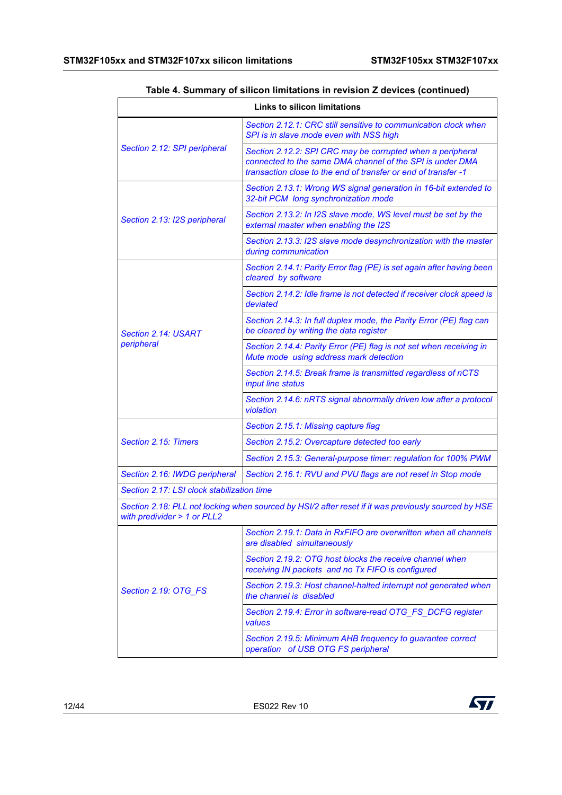| <b>Links to silicon limitations</b>                                                                                                |                                                                                                                                                                                           |  |
|------------------------------------------------------------------------------------------------------------------------------------|-------------------------------------------------------------------------------------------------------------------------------------------------------------------------------------------|--|
|                                                                                                                                    | Section 2.12.1: CRC still sensitive to communication clock when<br>SPI is in slave mode even with NSS high                                                                                |  |
| Section 2.12: SPI peripheral                                                                                                       | Section 2.12.2: SPI CRC may be corrupted when a peripheral<br>connected to the same DMA channel of the SPI is under DMA<br>transaction close to the end of transfer or end of transfer -1 |  |
|                                                                                                                                    | Section 2.13.1: Wrong WS signal generation in 16-bit extended to<br>32-bit PCM long synchronization mode                                                                                  |  |
| Section 2.13: I2S peripheral                                                                                                       | Section 2.13.2: In I2S slave mode, WS level must be set by the<br>external master when enabling the I2S                                                                                   |  |
|                                                                                                                                    | Section 2.13.3: I2S slave mode desynchronization with the master<br>during communication                                                                                                  |  |
|                                                                                                                                    | Section 2.14.1: Parity Error flag (PE) is set again after having been<br>cleared by software                                                                                              |  |
|                                                                                                                                    | Section 2.14.2: Idle frame is not detected if receiver clock speed is<br>deviated                                                                                                         |  |
| Section 2.14: USART                                                                                                                | Section 2.14.3: In full duplex mode, the Parity Error (PE) flag can<br>be cleared by writing the data register                                                                            |  |
| peripheral                                                                                                                         | Section 2.14.4: Parity Error (PE) flag is not set when receiving in<br>Mute mode using address mark detection                                                                             |  |
|                                                                                                                                    | Section 2.14.5: Break frame is transmitted regardless of nCTS<br>input line status                                                                                                        |  |
|                                                                                                                                    | Section 2.14.6: nRTS signal abnormally driven low after a protocol<br>violation                                                                                                           |  |
|                                                                                                                                    | Section 2.15.1: Missing capture flag                                                                                                                                                      |  |
| Section 2.15: Timers                                                                                                               | Section 2.15.2: Overcapture detected too early                                                                                                                                            |  |
|                                                                                                                                    | Section 2.15.3: General-purpose timer: regulation for 100% PWM                                                                                                                            |  |
| Section 2.16: IWDG peripheral                                                                                                      | Section 2.16.1: RVU and PVU flags are not reset in Stop mode                                                                                                                              |  |
| Section 2.17: LSI clock stabilization time                                                                                         |                                                                                                                                                                                           |  |
| Section 2.18: PLL not locking when sourced by HSI/2 after reset if it was previously sourced by HSE<br>with predivider > 1 or PLL2 |                                                                                                                                                                                           |  |
|                                                                                                                                    | Section 2.19.1: Data in RxFIFO are overwritten when all channels<br>are disabled simultaneously                                                                                           |  |
|                                                                                                                                    | Section 2.19.2: OTG host blocks the receive channel when<br>receiving IN packets and no Tx FIFO is configured                                                                             |  |
| Section 2.19: OTG_FS                                                                                                               | Section 2.19.3: Host channel-halted interrupt not generated when<br>the channel is disabled                                                                                               |  |
|                                                                                                                                    | Section 2.19.4: Error in software-read OTG FS DCFG register<br>values                                                                                                                     |  |
|                                                                                                                                    | Section 2.19.5: Minimum AHB frequency to guarantee correct<br>operation of USB OTG FS peripheral                                                                                          |  |

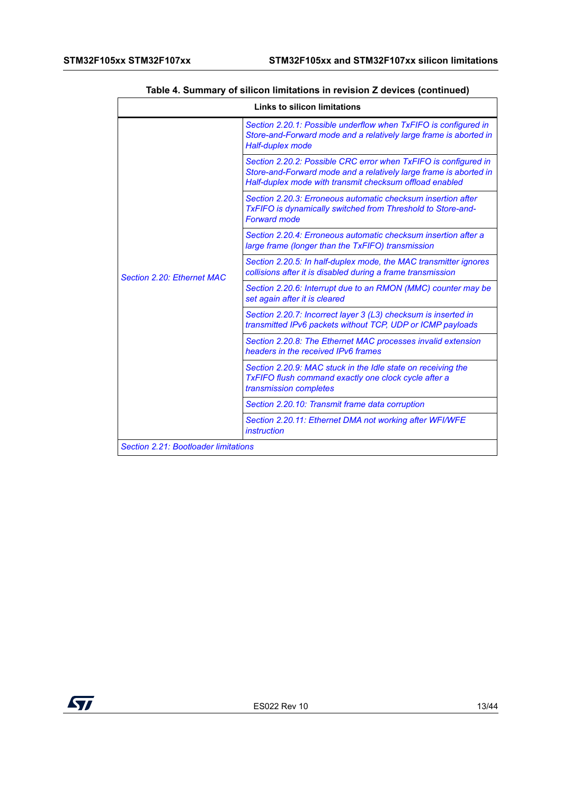| <b>Links to silicon limitations</b>  |                                                                                                                                                                                                 |  |
|--------------------------------------|-------------------------------------------------------------------------------------------------------------------------------------------------------------------------------------------------|--|
|                                      | Section 2.20.1: Possible underflow when TxFIFO is configured in<br>Store-and-Forward mode and a relatively large frame is aborted in<br><b>Half-duplex mode</b>                                 |  |
|                                      | Section 2.20.2: Possible CRC error when TxFIFO is configured in<br>Store-and-Forward mode and a relatively large frame is aborted in<br>Half-duplex mode with transmit checksum offload enabled |  |
|                                      | Section 2.20.3: Erroneous automatic checksum insertion after<br>TxFIFO is dynamically switched from Threshold to Store-and-<br><b>Forward mode</b>                                              |  |
|                                      | Section 2.20.4: Erroneous automatic checksum insertion after a<br>large frame (longer than the TxFIFO) transmission                                                                             |  |
| Section 2.20: Ethernet MAC           | Section 2.20.5: In half-duplex mode, the MAC transmitter ignores<br>collisions after it is disabled during a frame transmission                                                                 |  |
|                                      | Section 2.20.6: Interrupt due to an RMON (MMC) counter may be<br>set again after it is cleared                                                                                                  |  |
|                                      | Section 2.20.7: Incorrect layer 3 (L3) checksum is inserted in<br>transmitted IPv6 packets without TCP, UDP or ICMP payloads                                                                    |  |
|                                      | Section 2.20.8: The Ethernet MAC processes invalid extension<br>headers in the received IPv6 frames                                                                                             |  |
|                                      | Section 2.20.9: MAC stuck in the Idle state on receiving the<br><b>TxFIFO flush command exactly one clock cycle after a</b><br>transmission completes                                           |  |
|                                      | Section 2.20.10: Transmit frame data corruption                                                                                                                                                 |  |
|                                      | Section 2.20.11: Ethernet DMA not working after WFI/WFE<br>instruction                                                                                                                          |  |
| Section 2.21: Bootloader limitations |                                                                                                                                                                                                 |  |

# **Table 4. Summary of silicon limitations in revision Z devices (continued)**

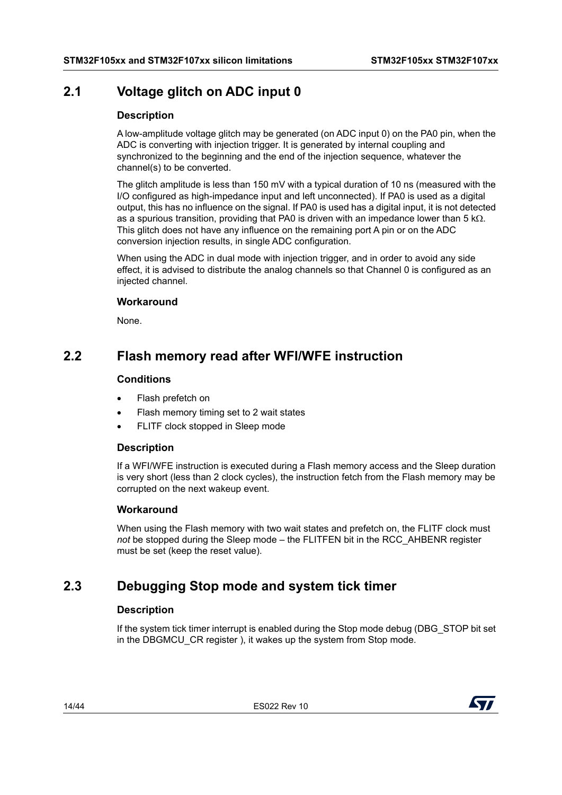# <span id="page-13-0"></span>**2.1 Voltage glitch on ADC input 0**

#### **Description**

A low-amplitude voltage glitch may be generated (on ADC input 0) on the PA0 pin, when the ADC is converting with injection trigger. It is generated by internal coupling and synchronized to the beginning and the end of the injection sequence, whatever the channel(s) to be converted.

The glitch amplitude is less than 150 mV with a typical duration of 10 ns (measured with the I/O configured as high-impedance input and left unconnected). If PA0 is used as a digital output, this has no influence on the signal. If PA0 is used has a digital input, it is not detected as a spurious transition, providing that PA0 is driven with an impedance lower than 5  $k\Omega$ . This glitch does not have any influence on the remaining port A pin or on the ADC conversion injection results, in single ADC configuration.

When using the ADC in dual mode with injection trigger, and in order to avoid any side effect, it is advised to distribute the analog channels so that Channel 0 is configured as an injected channel.

#### **Workaround**

None.

# <span id="page-13-1"></span>**2.2 Flash memory read after WFI/WFE instruction**

#### **Conditions**

- Flash prefetch on
- Flash memory timing set to 2 wait states
- FLITF clock stopped in Sleep mode

#### **Description**

If a WFI/WFE instruction is executed during a Flash memory access and the Sleep duration is very short (less than 2 clock cycles), the instruction fetch from the Flash memory may be corrupted on the next wakeup event.

## **Workaround**

When using the Flash memory with two wait states and prefetch on, the FLITF clock must *not* be stopped during the Sleep mode – the FLITFEN bit in the RCC\_AHBENR register must be set (keep the reset value).

# <span id="page-13-2"></span>**2.3 Debugging Stop mode and system tick timer**

#### **Description**

If the system tick timer interrupt is enabled during the Stop mode debug (DBG\_STOP bit set in the DBGMCU CR register ), it wakes up the system from Stop mode.

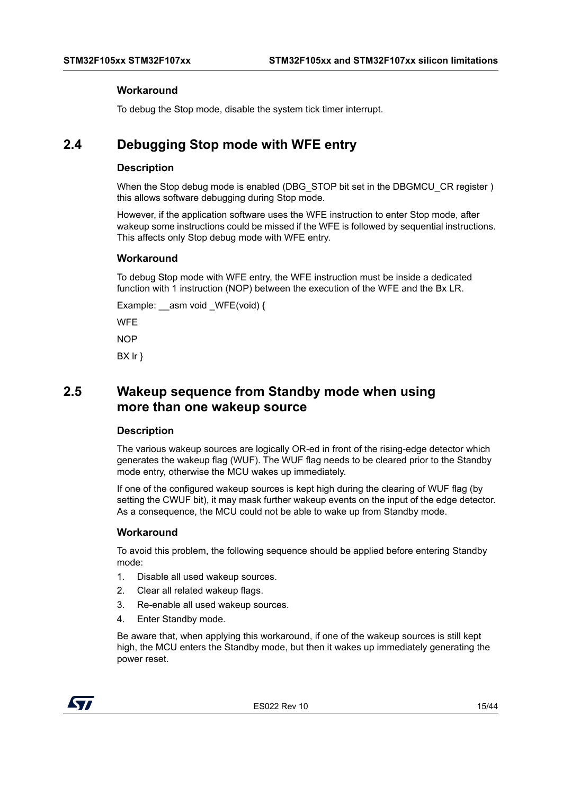#### **Workaround**

To debug the Stop mode, disable the system tick timer interrupt.

# <span id="page-14-0"></span>**2.4 Debugging Stop mode with WFE entry**

#### **Description**

When the Stop debug mode is enabled (DBG\_STOP bit set in the DBGMCU\_CR register ) this allows software debugging during Stop mode.

However, if the application software uses the WFE instruction to enter Stop mode, after wakeup some instructions could be missed if the WFE is followed by sequential instructions. This affects only Stop debug mode with WFE entry.

#### **Workaround**

To debug Stop mode with WFE entry, the WFE instruction must be inside a dedicated function with 1 instruction (NOP) between the execution of the WFE and the Bx LR.

Example:  $\alpha$ asm void WFE(void) {

**WFF** 

**NOP** 

BX lr }

# <span id="page-14-1"></span>**2.5 Wakeup sequence from Standby mode when using more than one wakeup source**

#### **Description**

The various wakeup sources are logically OR-ed in front of the rising-edge detector which generates the wakeup flag (WUF). The WUF flag needs to be cleared prior to the Standby mode entry, otherwise the MCU wakes up immediately.

If one of the configured wakeup sources is kept high during the clearing of WUF flag (by setting the CWUF bit), it may mask further wakeup events on the input of the edge detector. As a consequence, the MCU could not be able to wake up from Standby mode.

#### **Workaround**

To avoid this problem, the following sequence should be applied before entering Standby mode:

- 1. Disable all used wakeup sources.
- 2. Clear all related wakeup flags.
- 3. Re-enable all used wakeup sources.
- 4. Enter Standby mode.

Be aware that, when applying this workaround, if one of the wakeup sources is still kept high, the MCU enters the Standby mode, but then it wakes up immediately generating the power reset.



ES022 Rev 10 15/44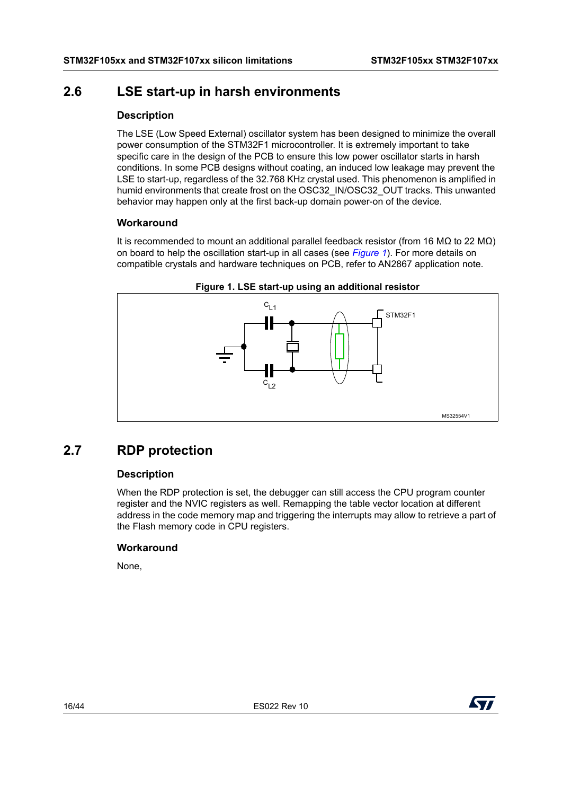# <span id="page-15-0"></span>**2.6 LSE start-up in harsh environments**

## **Description**

The LSE (Low Speed External) oscillator system has been designed to minimize the overall power consumption of the STM32F1 microcontroller. It is extremely important to take specific care in the design of the PCB to ensure this low power oscillator starts in harsh conditions. In some PCB designs without coating, an induced low leakage may prevent the LSE to start-up, regardless of the 32.768 KHz crystal used. This phenomenon is amplified in humid environments that create frost on the OSC32\_IN/OSC32\_OUT tracks. This unwanted behavior may happen only at the first back-up domain power-on of the device.

## **Workaround**

It is recommended to mount an additional parallel feedback resistor (from 16 MΩ to 22 MΩ) on board to help the oscillation start-up in all cases (see *[Figure](#page-15-2) 1*). For more details on compatible crystals and hardware techniques on PCB, refer to AN2867 application note.

<span id="page-15-2"></span>

#### **Figure 1. LSE start-up using an additional resistor**

# <span id="page-15-1"></span>**2.7 RDP protection**

## **Description**

When the RDP protection is set, the debugger can still access the CPU program counter register and the NVIC registers as well. Remapping the table vector location at different address in the code memory map and triggering the interrupts may allow to retrieve a part of the Flash memory code in CPU registers.

## **Workaround**

None,

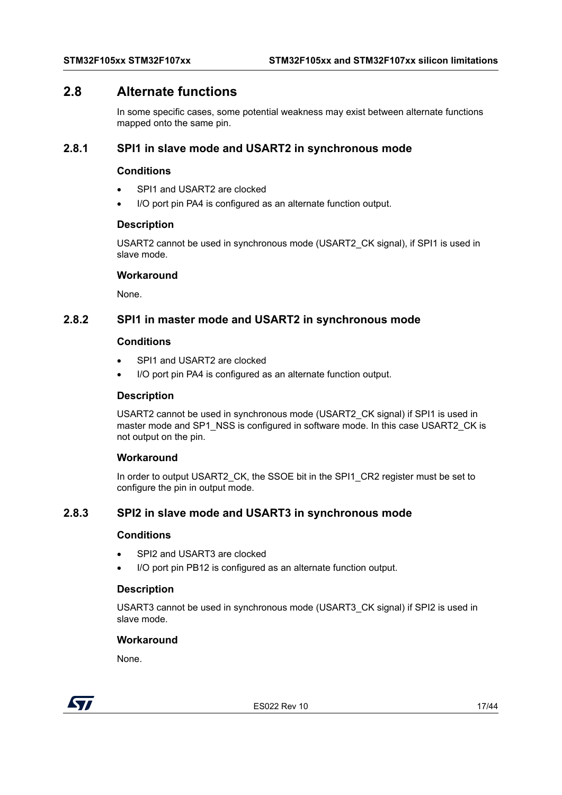# <span id="page-16-0"></span>**2.8 Alternate functions**

In some specific cases, some potential weakness may exist between alternate functions mapped onto the same pin.

#### <span id="page-16-1"></span>**2.8.1 SPI1 in slave mode and USART2 in synchronous mode**

#### **Conditions**

- SPI1 and USART2 are clocked
- I/O port pin PA4 is configured as an alternate function output.

#### **Description**

USART2 cannot be used in synchronous mode (USART2\_CK signal), if SPI1 is used in slave mode.

#### **Workaround**

None.

# <span id="page-16-2"></span>**2.8.2 SPI1 in master mode and USART2 in synchronous mode**

#### **Conditions**

- SPI1 and USART2 are clocked
- I/O port pin PA4 is configured as an alternate function output.

#### **Description**

USART2 cannot be used in synchronous mode (USART2\_CK signal) if SPI1 is used in master mode and SP1\_NSS is configured in software mode. In this case USART2\_CK is not output on the pin.

#### **Workaround**

In order to output USART2\_CK, the SSOE bit in the SPI1\_CR2 register must be set to configure the pin in output mode.

# <span id="page-16-3"></span>**2.8.3 SPI2 in slave mode and USART3 in synchronous mode**

#### **Conditions**

- SPI2 and USART3 are clocked
- I/O port pin PB12 is configured as an alternate function output.

#### **Description**

USART3 cannot be used in synchronous mode (USART3\_CK signal) if SPI2 is used in slave mode.

#### **Workaround**

None.



ES022 Rev 10 17/44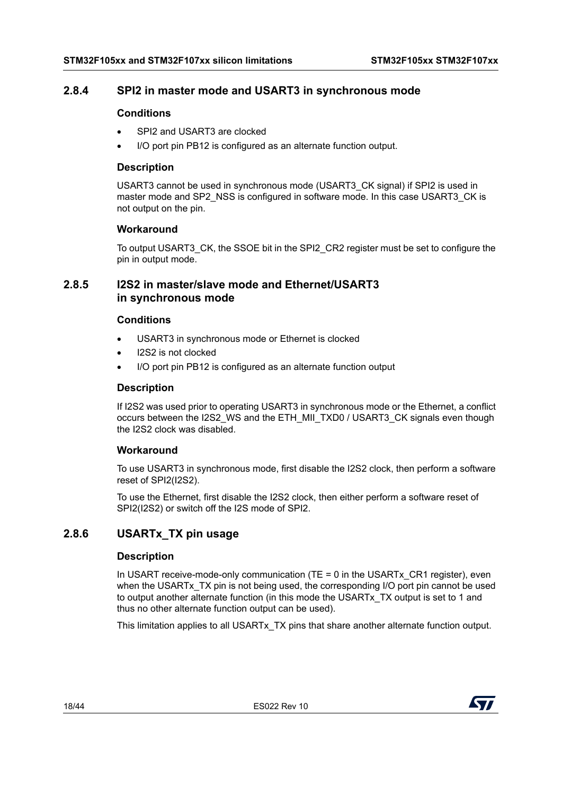# <span id="page-17-0"></span>**2.8.4 SPI2 in master mode and USART3 in synchronous mode**

#### **Conditions**

- SPI2 and USART3 are clocked
- I/O port pin PB12 is configured as an alternate function output.

#### **Description**

USART3 cannot be used in synchronous mode (USART3\_CK signal) if SPI2 is used in master mode and SP2\_NSS is configured in software mode. In this case USART3\_CK is not output on the pin.

#### **Workaround**

To output USART3\_CK, the SSOE bit in the SPI2\_CR2 register must be set to configure the pin in output mode.

# <span id="page-17-1"></span>**2.8.5 I2S2 in master/slave mode and Ethernet/USART3 in synchronous mode**

#### **Conditions**

- USART3 in synchronous mode or Ethernet is clocked
- I2S2 is not clocked
- I/O port pin PB12 is configured as an alternate function output

#### **Description**

If I2S2 was used prior to operating USART3 in synchronous mode or the Ethernet, a conflict occurs between the I2S2\_WS and the ETH\_MII\_TXD0 / USART3\_CK signals even though the I2S2 clock was disabled.

#### **Workaround**

To use USART3 in synchronous mode, first disable the I2S2 clock, then perform a software reset of SPI2(I2S2).

To use the Ethernet, first disable the I2S2 clock, then either perform a software reset of SPI2(I2S2) or switch off the I2S mode of SPI2.

# <span id="page-17-2"></span>**2.8.6 USARTx\_TX pin usage**

## **Description**

In USART receive-mode-only communication (TE = 0 in the USARTx, CR1 register), even when the USARTx TX pin is not being used, the corresponding I/O port pin cannot be used to output another alternate function (in this mode the USARTx\_TX output is set to 1 and thus no other alternate function output can be used).

This limitation applies to all USARTx\_TX pins that share another alternate function output.

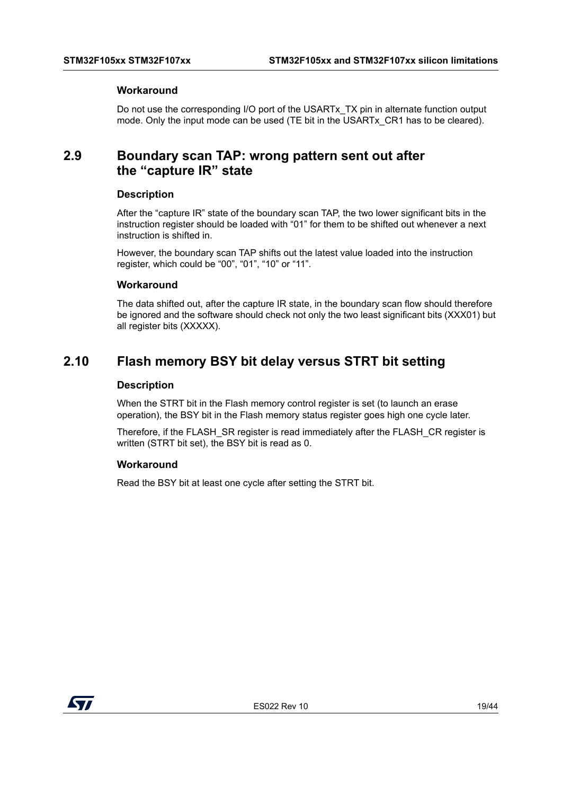#### **Workaround**

Do not use the corresponding I/O port of the USARTx TX pin in alternate function output mode. Only the input mode can be used (TE bit in the USARTx\_CR1 has to be cleared).

# <span id="page-18-0"></span>**2.9 Boundary scan TAP: wrong pattern sent out after the "capture IR" state**

#### **Description**

After the "capture IR" state of the boundary scan TAP, the two lower significant bits in the instruction register should be loaded with "01" for them to be shifted out whenever a next instruction is shifted in.

However, the boundary scan TAP shifts out the latest value loaded into the instruction register, which could be "00", "01", "10" or "11".

#### **Workaround**

The data shifted out, after the capture IR state, in the boundary scan flow should therefore be ignored and the software should check not only the two least significant bits (XXX01) but all register bits (XXXXX).

# <span id="page-18-1"></span>**2.10 Flash memory BSY bit delay versus STRT bit setting**

#### **Description**

When the STRT bit in the Flash memory control register is set (to launch an erase operation), the BSY bit in the Flash memory status register goes high one cycle later.

Therefore, if the FLASH SR register is read immediately after the FLASH CR register is written (STRT bit set), the BSY bit is read as 0.

#### **Workaround**

Read the BSY bit at least one cycle after setting the STRT bit.

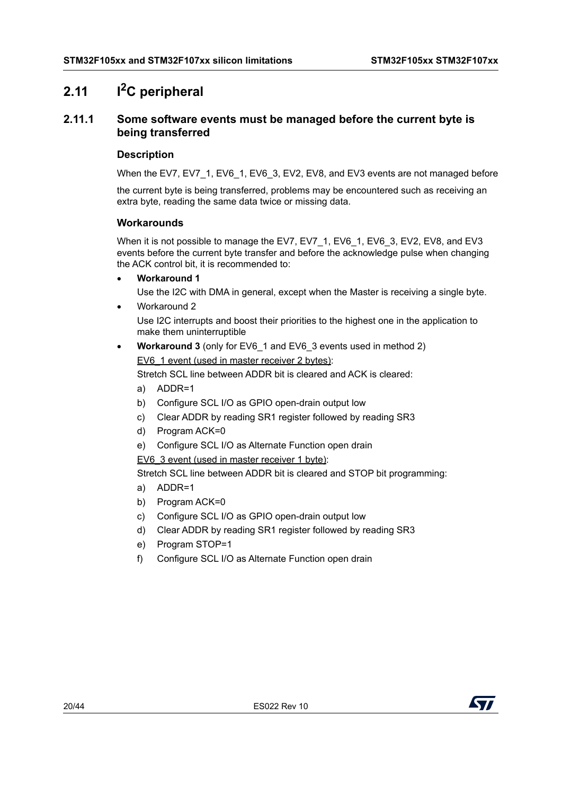# <span id="page-19-0"></span>**2.11 I2C peripheral**

# <span id="page-19-1"></span>**2.11.1 Some software events must be managed before the current byte is being transferred**

#### **Description**

When the EV7, EV7\_1, EV6\_1, EV6\_3, EV2, EV8, and EV3 events are not managed before

the current byte is being transferred, problems may be encountered such as receiving an extra byte, reading the same data twice or missing data.

#### **Workarounds**

When it is not possible to manage the EV7, EV7\_1, EV6\_1, EV6\_3, EV2, EV8, and EV3 events before the current byte transfer and before the acknowledge pulse when changing the ACK control bit, it is recommended to:

- **Workaround 1**
	- Use the I2C with DMA in general, except when the Master is receiving a single byte.
- Workaround 2 Use I2C interrupts and boost their priorities to the highest one in the application to make them uninterruptible
- **Workaround 3** (only for EV6\_1 and EV6\_3 events used in method 2) EV6\_1 event (used in master receiver 2 bytes):

Stretch SCL line between ADDR bit is cleared and ACK is cleared:

- a) ADDR=1
- b) Configure SCL I/O as GPIO open-drain output low
- c) Clear ADDR by reading SR1 register followed by reading SR3
- d) Program ACK=0
- e) Configure SCL I/O as Alternate Function open drain
- EV6\_3 event (used in master receiver 1 byte):

Stretch SCL line between ADDR bit is cleared and STOP bit programming:

- a) ADDR=1
- b) Program ACK=0
- c) Configure SCL I/O as GPIO open-drain output low
- d) Clear ADDR by reading SR1 register followed by reading SR3
- e) Program STOP=1
- f) Configure SCL I/O as Alternate Function open drain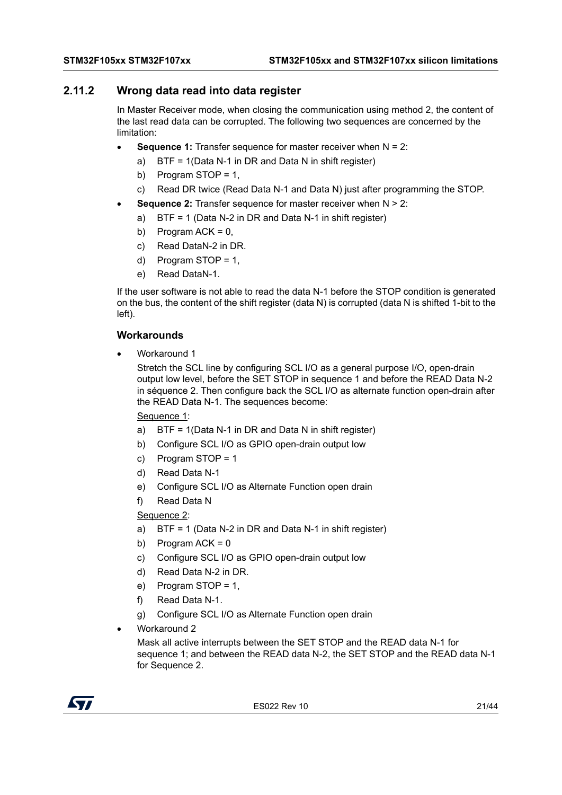# <span id="page-20-0"></span>**2.11.2 Wrong data read into data register**

In Master Receiver mode, when closing the communication using method 2, the content of the last read data can be corrupted. The following two sequences are concerned by the limitation:

- **Sequence 1:** Transfer sequence for master receiver when N = 2:
	- a) BTF = 1(Data N-1 in DR and Data N in shift register)
	- b) Program STOP = 1,
	- c) Read DR twice (Read Data N-1 and Data N) just after programming the STOP.
- **Sequence 2:** Transfer sequence for master receiver when N > 2:
	- a) BTF = 1 (Data N-2 in DR and Data N-1 in shift register)
	- b) Program  $ACK = 0$ ,
	- c) Read DataN-2 in DR.
	- d) Program STOP = 1,
	- e) Read DataN-1.

If the user software is not able to read the data N-1 before the STOP condition is generated on the bus, the content of the shift register (data N) is corrupted (data N is shifted 1-bit to the left).

#### **Workarounds**

Workaround 1

Stretch the SCL line by configuring SCL I/O as a general purpose I/O, open-drain output low level, before the SET STOP in sequence 1 and before the READ Data N-2 in séquence 2. Then configure back the SCL I/O as alternate function open-drain after the READ Data N-1. The sequences become:

Sequence 1:

- a) BTF = 1(Data N-1 in DR and Data N in shift register)
- b) Configure SCL I/O as GPIO open-drain output low
- c) Program STOP = 1
- d) Read Data N-1
- e) Configure SCL I/O as Alternate Function open drain
- f) Read Data N

## Sequence 2:

- a) BTF = 1 (Data N-2 in DR and Data N-1 in shift register)
- b) Program  $ACK = 0$
- c) Configure SCL I/O as GPIO open-drain output low
- d) Read Data N-2 in DR.
- e) Program  $STOP = 1$ .
- f) Read Data N-1.
- g) Configure SCL I/O as Alternate Function open drain
- Workaround 2

Mask all active interrupts between the SET STOP and the READ data N-1 for sequence 1; and between the READ data N-2, the SET STOP and the READ data N-1 for Sequence 2.

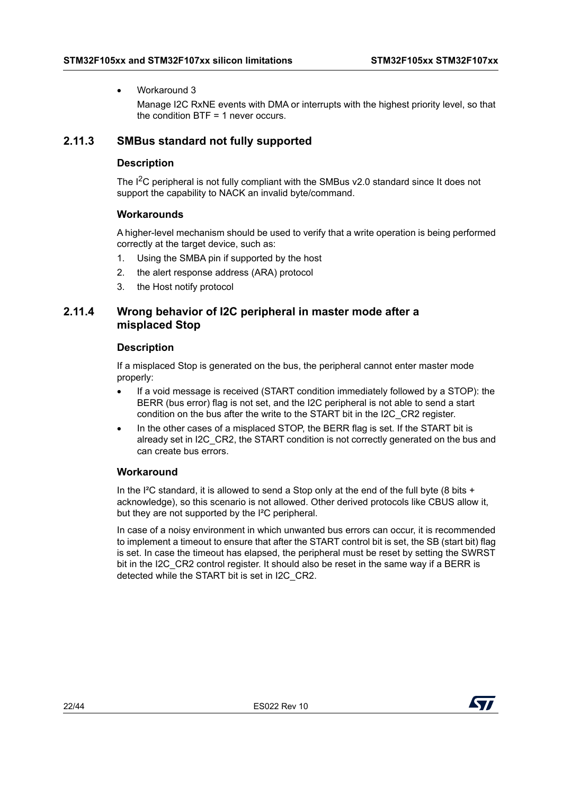#### Workaround 3

Manage I2C RxNE events with DMA or interrupts with the highest priority level, so that the condition BTF = 1 never occurs.

# <span id="page-21-0"></span>**2.11.3 SMBus standard not fully supported**

#### **Description**

The  $I^2C$  peripheral is not fully compliant with the SMBus v2.0 standard since It does not support the capability to NACK an invalid byte/command.

#### **Workarounds**

A higher-level mechanism should be used to verify that a write operation is being performed correctly at the target device, such as:

- 1. Using the SMBA pin if supported by the host
- 2. the alert response address (ARA) protocol
- 3. the Host notify protocol

# <span id="page-21-1"></span>**2.11.4 Wrong behavior of I2C peripheral in master mode after a misplaced Stop**

#### **Description**

If a misplaced Stop is generated on the bus, the peripheral cannot enter master mode properly:

- If a void message is received (START condition immediately followed by a STOP): the BERR (bus error) flag is not set, and the I2C peripheral is not able to send a start condition on the bus after the write to the START bit in the I2C\_CR2 register.
- In the other cases of a misplaced STOP, the BERR flag is set. If the START bit is already set in I2C\_CR2, the START condition is not correctly generated on the bus and can create bus errors.

## **Workaround**

In the I<sup>2</sup>C standard, it is allowed to send a Stop only at the end of the full byte (8 bits + acknowledge), so this scenario is not allowed. Other derived protocols like CBUS allow it, but they are not supported by the I²C peripheral.

In case of a noisy environment in which unwanted bus errors can occur, it is recommended to implement a timeout to ensure that after the START control bit is set, the SB (start bit) flag is set. In case the timeout has elapsed, the peripheral must be reset by setting the SWRST bit in the I2C\_CR2 control register. It should also be reset in the same way if a BERR is detected while the START bit is set in I2C\_CR2.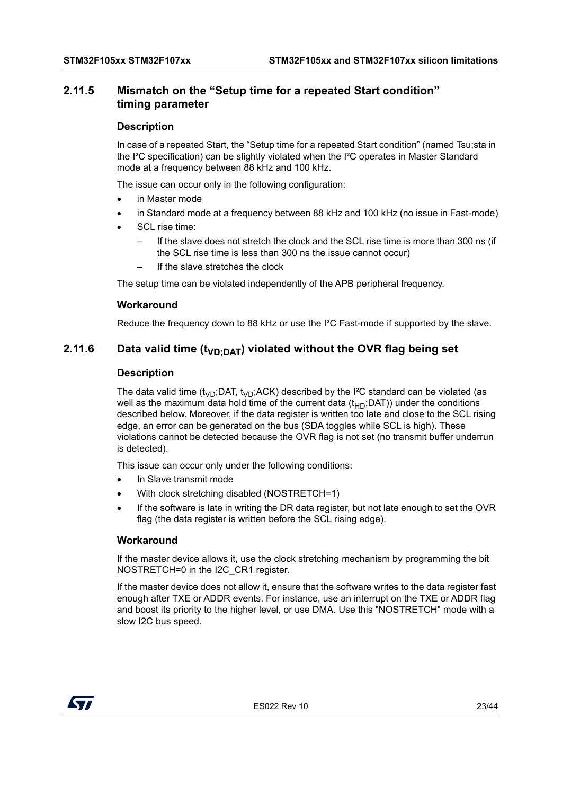# <span id="page-22-0"></span>**2.11.5 Mismatch on the "Setup time for a repeated Start condition" timing parameter**

#### **Description**

In case of a repeated Start, the "Setup time for a repeated Start condition" (named Tsu;sta in the I²C specification) can be slightly violated when the I²C operates in Master Standard mode at a frequency between 88 kHz and 100 kHz.

The issue can occur only in the following configuration:

- in Master mode
- in Standard mode at a frequency between 88 kHz and 100 kHz (no issue in Fast-mode)
- SCL rise time:
	- If the slave does not stretch the clock and the SCL rise time is more than 300 ns (if the SCL rise time is less than 300 ns the issue cannot occur)
	- If the slave stretches the clock

The setup time can be violated independently of the APB peripheral frequency.

#### **Workaround**

Reduce the frequency down to 88 kHz or use the I²C Fast-mode if supported by the slave.

# <span id="page-22-1"></span>**2.11.6** Data valid time (t<sub>VD:DAT</sub>) violated without the OVR flag being set

#### **Description**

The data valid time ( $t_{VD}$ ;DAT,  $t_{VD}$ ;ACK) described by the I<sup>2</sup>C standard can be violated (as well as the maximum data hold time of the current data  $(t_{HD};$ DAT)) under the conditions described below. Moreover, if the data register is written too late and close to the SCL rising edge, an error can be generated on the bus (SDA toggles while SCL is high). These violations cannot be detected because the OVR flag is not set (no transmit buffer underrun is detected).

This issue can occur only under the following conditions:

- In Slave transmit mode
- With clock stretching disabled (NOSTRETCH=1)
- If the software is late in writing the DR data register, but not late enough to set the OVR flag (the data register is written before the SCL rising edge).

#### **Workaround**

If the master device allows it, use the clock stretching mechanism by programming the bit NOSTRETCH=0 in the I2C\_CR1 register.

If the master device does not allow it, ensure that the software writes to the data register fast enough after TXE or ADDR events. For instance, use an interrupt on the TXE or ADDR flag and boost its priority to the higher level, or use DMA. Use this "NOSTRETCH" mode with a slow I2C bus speed.

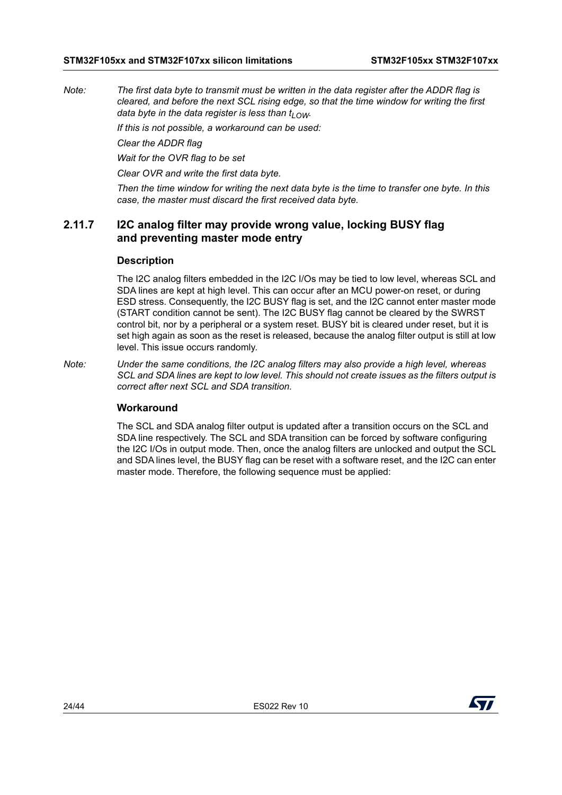*Note: The first data byte to transmit must be written in the data register after the ADDR flag is cleared, and before the next SCL rising edge, so that the time window for writing the first data byte in the data register is less than*  $t_{LOM}$ *.* 

*If this is not possible, a workaround can be used:*

*Clear the ADDR flag*

*Wait for the OVR flag to be set*

*Clear OVR and write the first data byte.*

*Then the time window for writing the next data byte is the time to transfer one byte. In this case, the master must discard the first received data byte.*

# <span id="page-23-0"></span>**2.11.7 I2C analog filter may provide wrong value, locking BUSY flag and preventing master mode entry**

#### **Description**

The I2C analog filters embedded in the I2C I/Os may be tied to low level, whereas SCL and SDA lines are kept at high level. This can occur after an MCU power-on reset, or during ESD stress. Consequently, the I2C BUSY flag is set, and the I2C cannot enter master mode (START condition cannot be sent). The I2C BUSY flag cannot be cleared by the SWRST control bit, nor by a peripheral or a system reset. BUSY bit is cleared under reset, but it is set high again as soon as the reset is released, because the analog filter output is still at low level. This issue occurs randomly.

*Note: Under the same conditions, the I2C analog filters may also provide a high level, whereas SCL and SDA lines are kept to low level. This should not create issues as the filters output is correct after next SCL and SDA transition.* 

#### **Workaround**

The SCL and SDA analog filter output is updated after a transition occurs on the SCL and SDA line respectively. The SCL and SDA transition can be forced by software configuring the I2C I/Os in output mode. Then, once the analog filters are unlocked and output the SCL and SDA lines level, the BUSY flag can be reset with a software reset, and the I2C can enter master mode. Therefore, the following sequence must be applied:

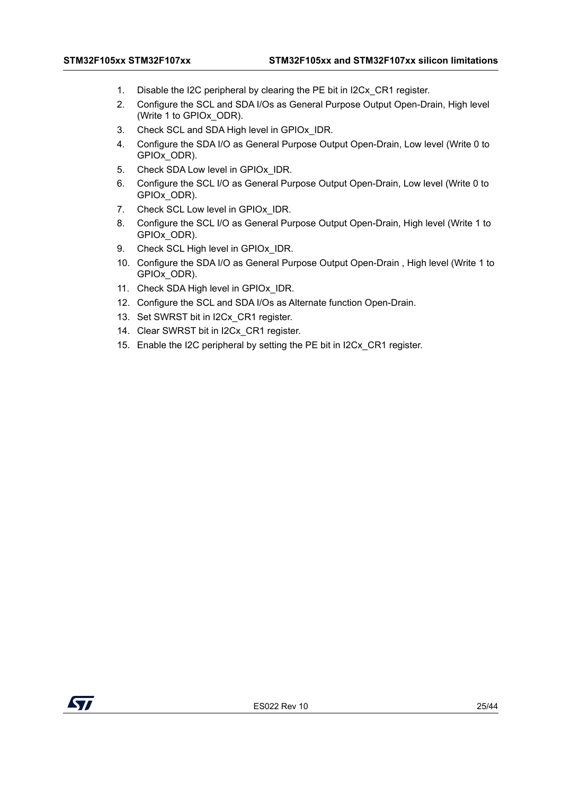- 1. Disable the I2C peripheral by clearing the PE bit in I2Cx\_CR1 register.
- 2. Configure the SCL and SDA I/Os as General Purpose Output Open-Drain, High level (Write 1 to GPIOx\_ODR).
- 3. Check SCL and SDA High level in GPIOx\_IDR.
- 4. Configure the SDA I/O as General Purpose Output Open-Drain, Low level (Write 0 to GPIOx\_ODR).
- 5. Check SDA Low level in GPIOx IDR.
- 6. Configure the SCL I/O as General Purpose Output Open-Drain, Low level (Write 0 to GPIOx\_ODR).
- 7. Check SCL Low level in GPIOx IDR.
- 8. Configure the SCL I/O as General Purpose Output Open-Drain, High level (Write 1 to GPIOx\_ODR).
- 9. Check SCL High level in GPIOx IDR.
- 10. Configure the SDA I/O as General Purpose Output Open-Drain , High level (Write 1 to GPIOx\_ODR).
- 11. Check SDA High level in GPIOx\_IDR.
- 12. Configure the SCL and SDA I/Os as Alternate function Open-Drain.
- 13. Set SWRST bit in I2Cx CR1 register.
- 14. Clear SWRST bit in I2Cx CR1 register.
- 15. Enable the I2C peripheral by setting the PE bit in I2Cx\_CR1 register.

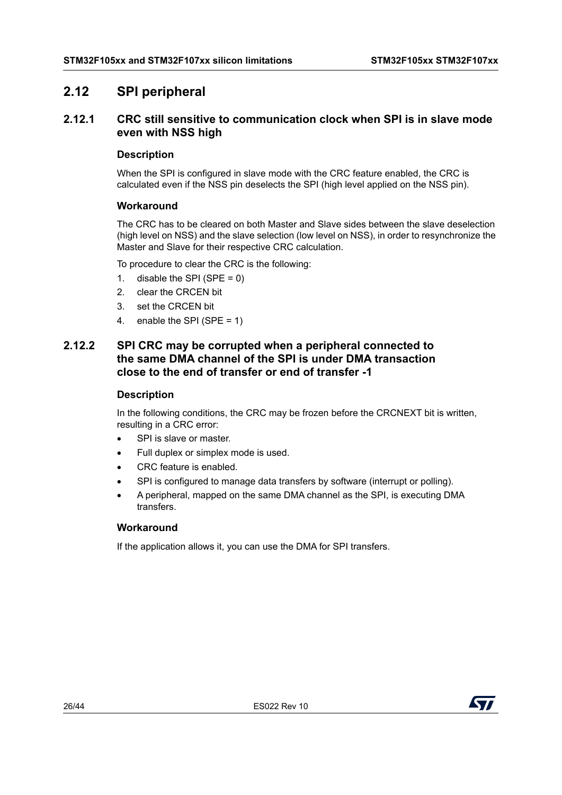# <span id="page-25-0"></span>**2.12 SPI peripheral**

# <span id="page-25-1"></span>**2.12.1 CRC still sensitive to communication clock when SPI is in slave mode even with NSS high**

#### **Description**

When the SPI is configured in slave mode with the CRC feature enabled, the CRC is calculated even if the NSS pin deselects the SPI (high level applied on the NSS pin).

#### **Workaround**

The CRC has to be cleared on both Master and Slave sides between the slave deselection (high level on NSS) and the slave selection (low level on NSS), in order to resynchronize the Master and Slave for their respective CRC calculation.

To procedure to clear the CRC is the following:

- 1. disable the SPI (SPE =  $0$ )
- 2. clear the CRCEN bit
- 3. set the CRCEN bit
- 4. enable the SPI (SPE = 1)

# <span id="page-25-2"></span>**2.12.2 SPI CRC may be corrupted when a peripheral connected to the same DMA channel of the SPI is under DMA transaction close to the end of transfer or end of transfer -1**

#### **Description**

In the following conditions, the CRC may be frozen before the CRCNEXT bit is written, resulting in a CRC error:

- SPI is slave or master.
- Full duplex or simplex mode is used.
- CRC feature is enabled.
- SPI is configured to manage data transfers by software (interrupt or polling).
- A peripheral, mapped on the same DMA channel as the SPI, is executing DMA transfers.

## **Workaround**

If the application allows it, you can use the DMA for SPI transfers.

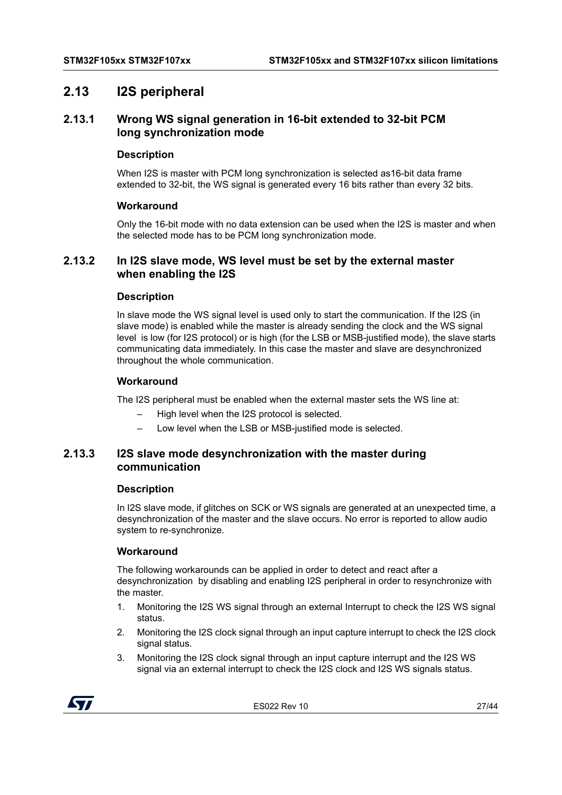# <span id="page-26-0"></span>**2.13 I2S peripheral**

# <span id="page-26-1"></span>**2.13.1 Wrong WS signal generation in 16-bit extended to 32-bit PCM long synchronization mode**

#### **Description**

When I2S is master with PCM long synchronization is selected as16-bit data frame extended to 32-bit, the WS signal is generated every 16 bits rather than every 32 bits.

#### **Workaround**

Only the 16-bit mode with no data extension can be used when the I2S is master and when the selected mode has to be PCM long synchronization mode.

# <span id="page-26-2"></span>**2.13.2 In I2S slave mode, WS level must be set by the external master when enabling the I2S**

#### **Description**

In slave mode the WS signal level is used only to start the communication. If the I2S (in slave mode) is enabled while the master is already sending the clock and the WS signal level is low (for I2S protocol) or is high (for the LSB or MSB-justified mode), the slave starts communicating data immediately. In this case the master and slave are desynchronized throughout the whole communication.

#### **Workaround**

The I2S peripheral must be enabled when the external master sets the WS line at:

- High level when the I2S protocol is selected.
- Low level when the LSB or MSB-justified mode is selected.

# <span id="page-26-3"></span>**2.13.3 I2S slave mode desynchronization with the master during communication**

#### **Description**

In I2S slave mode, if glitches on SCK or WS signals are generated at an unexpected time, a desynchronization of the master and the slave occurs. No error is reported to allow audio system to re-synchronize.

#### **Workaround**

The following workarounds can be applied in order to detect and react after a desynchronization by disabling and enabling I2S peripheral in order to resynchronize with the master.

- 1. Monitoring the I2S WS signal through an external Interrupt to check the I2S WS signal status.
- 2. Monitoring the I2S clock signal through an input capture interrupt to check the I2S clock signal status.
- 3. Monitoring the I2S clock signal through an input capture interrupt and the I2S WS signal via an external interrupt to check the I2S clock and I2S WS signals status.

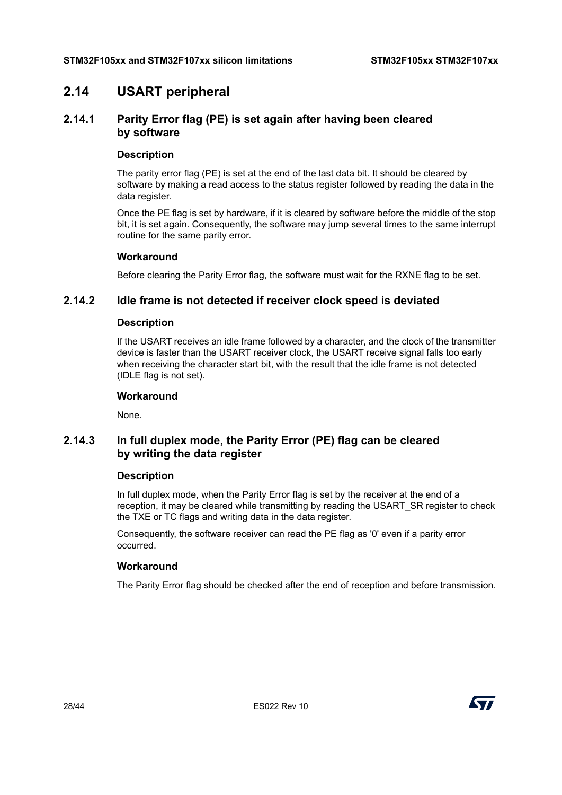# <span id="page-27-0"></span>**2.14 USART peripheral**

# <span id="page-27-1"></span>**2.14.1 Parity Error flag (PE) is set again after having been cleared by software**

#### **Description**

The parity error flag (PE) is set at the end of the last data bit. It should be cleared by software by making a read access to the status register followed by reading the data in the data register.

Once the PE flag is set by hardware, if it is cleared by software before the middle of the stop bit, it is set again. Consequently, the software may jump several times to the same interrupt routine for the same parity error.

#### **Workaround**

Before clearing the Parity Error flag, the software must wait for the RXNE flag to be set.

# <span id="page-27-2"></span>**2.14.2 Idle frame is not detected if receiver clock speed is deviated**

#### **Description**

If the USART receives an idle frame followed by a character, and the clock of the transmitter device is faster than the USART receiver clock, the USART receive signal falls too early when receiving the character start bit, with the result that the idle frame is not detected (IDLE flag is not set).

#### **Workaround**

None.

# <span id="page-27-3"></span>**2.14.3 In full duplex mode, the Parity Error (PE) flag can be cleared by writing the data register**

## **Description**

In full duplex mode, when the Parity Error flag is set by the receiver at the end of a reception, it may be cleared while transmitting by reading the USART\_SR register to check the TXE or TC flags and writing data in the data register.

Consequently, the software receiver can read the PE flag as '0' even if a parity error occurred.

## **Workaround**

The Parity Error flag should be checked after the end of reception and before transmission.

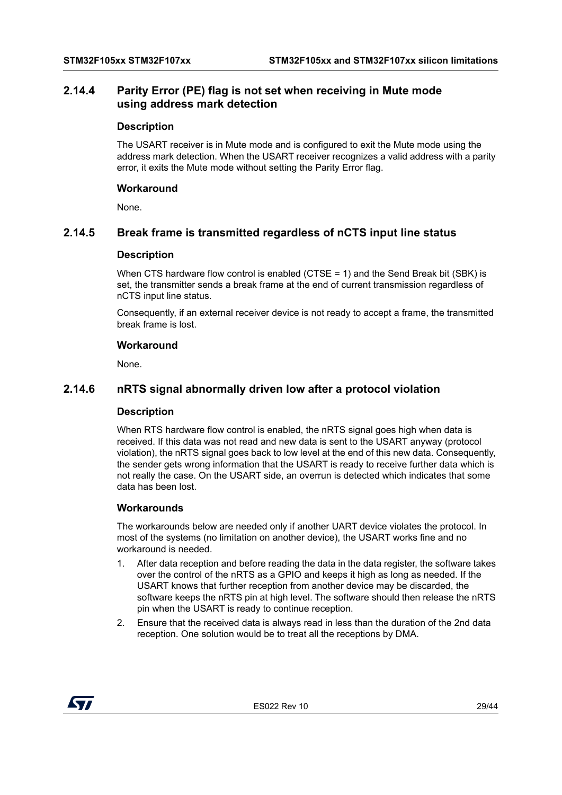# <span id="page-28-0"></span>**2.14.4 Parity Error (PE) flag is not set when receiving in Mute mode using address mark detection**

#### **Description**

The USART receiver is in Mute mode and is configured to exit the Mute mode using the address mark detection. When the USART receiver recognizes a valid address with a parity error, it exits the Mute mode without setting the Parity Error flag.

#### **Workaround**

None.

# <span id="page-28-1"></span>**2.14.5 Break frame is transmitted regardless of nCTS input line status**

#### **Description**

When CTS hardware flow control is enabled (CTSE = 1) and the Send Break bit (SBK) is set, the transmitter sends a break frame at the end of current transmission regardless of nCTS input line status.

Consequently, if an external receiver device is not ready to accept a frame, the transmitted break frame is lost.

#### **Workaround**

None.

# <span id="page-28-2"></span>**2.14.6 nRTS signal abnormally driven low after a protocol violation**

#### **Description**

When RTS hardware flow control is enabled, the nRTS signal goes high when data is received. If this data was not read and new data is sent to the USART anyway (protocol violation), the nRTS signal goes back to low level at the end of this new data. Consequently, the sender gets wrong information that the USART is ready to receive further data which is not really the case. On the USART side, an overrun is detected which indicates that some data has been lost.

#### **Workarounds**

The workarounds below are needed only if another UART device violates the protocol. In most of the systems (no limitation on another device), the USART works fine and no workaround is needed.

- 1. After data reception and before reading the data in the data register, the software takes over the control of the nRTS as a GPIO and keeps it high as long as needed. If the USART knows that further reception from another device may be discarded, the software keeps the nRTS pin at high level. The software should then release the nRTS pin when the USART is ready to continue reception.
- 2. Ensure that the received data is always read in less than the duration of the 2nd data reception. One solution would be to treat all the receptions by DMA.

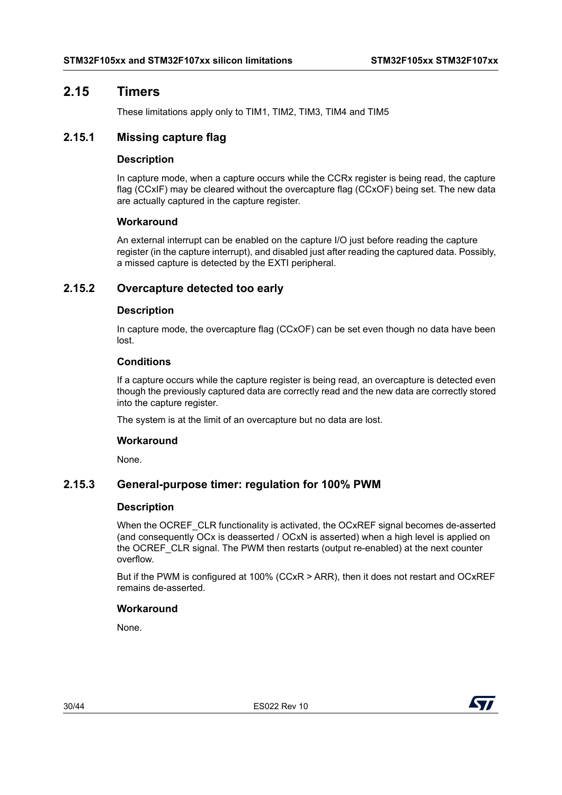# <span id="page-29-0"></span>**2.15 Timers**

These limitations apply only to TIM1, TIM2, TIM3, TIM4 and TIM5

# <span id="page-29-1"></span>**2.15.1 Missing capture flag**

#### **Description**

In capture mode, when a capture occurs while the CCRx register is being read, the capture flag (CCxIF) may be cleared without the overcapture flag (CCxOF) being set. The new data are actually captured in the capture register.

#### **Workaround**

An external interrupt can be enabled on the capture I/O just before reading the capture register (in the capture interrupt), and disabled just after reading the captured data. Possibly, a missed capture is detected by the EXTI peripheral.

# <span id="page-29-2"></span>**2.15.2 Overcapture detected too early**

#### **Description**

In capture mode, the overcapture flag (CCxOF) can be set even though no data have been lost.

#### **Conditions**

If a capture occurs while the capture register is being read, an overcapture is detected even though the previously captured data are correctly read and the new data are correctly stored into the capture register.

The system is at the limit of an overcapture but no data are lost.

#### **Workaround**

None.

# <span id="page-29-3"></span>**2.15.3 General-purpose timer: regulation for 100% PWM**

#### **Description**

When the OCREF CLR functionality is activated, the OCxREF signal becomes de-asserted (and consequently OCx is deasserted / OCxN is asserted) when a high level is applied on the OCREF\_CLR signal. The PWM then restarts (output re-enabled) at the next counter overflow.

But if the PWM is configured at 100% (CCxR > ARR), then it does not restart and OCxREF remains de-asserted.

## **Workaround**

None.

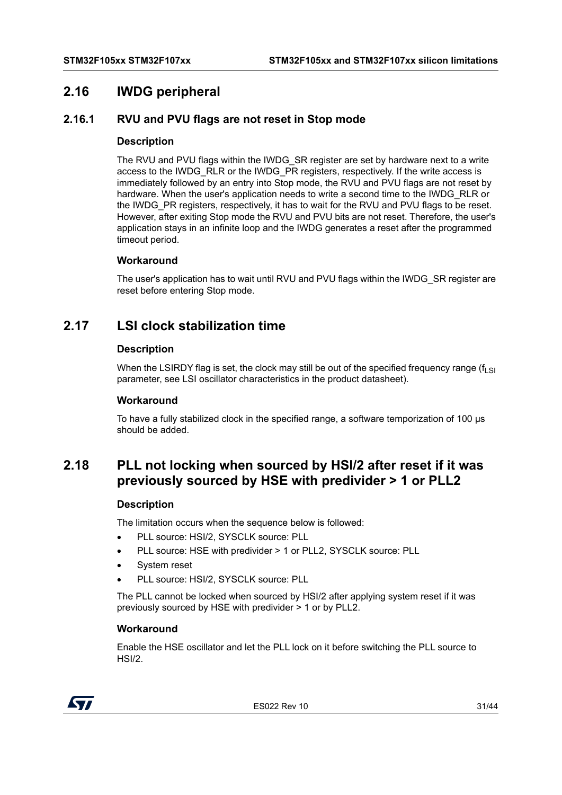# <span id="page-30-0"></span>**2.16 IWDG peripheral**

# <span id="page-30-1"></span>**2.16.1 RVU and PVU flags are not reset in Stop mode**

#### **Description**

The RVU and PVU flags within the IWDG SR register are set by hardware next to a write access to the IWDG\_RLR or the IWDG\_PR registers, respectively. If the write access is immediately followed by an entry into Stop mode, the RVU and PVU flags are not reset by hardware. When the user's application needs to write a second time to the IWDG RLR or the IWDG\_PR registers, respectively, it has to wait for the RVU and PVU flags to be reset. However, after exiting Stop mode the RVU and PVU bits are not reset. Therefore, the user's application stays in an infinite loop and the IWDG generates a reset after the programmed timeout period.

#### **Workaround**

The user's application has to wait until RVU and PVU flags within the IWDG\_SR register are reset before entering Stop mode.

# <span id="page-30-2"></span>**2.17 LSI clock stabilization time**

#### **Description**

When the LSIRDY flag is set, the clock may still be out of the specified frequency range ( $f_{\text{Lst}}$ ) parameter, see LSI oscillator characteristics in the product datasheet).

#### **Workaround**

To have a fully stabilized clock in the specified range, a software temporization of 100 µs should be added.

# <span id="page-30-3"></span>**2.18 PLL not locking when sourced by HSI/2 after reset if it was previously sourced by HSE with predivider > 1 or PLL2**

#### **Description**

The limitation occurs when the sequence below is followed:

- PLL source: HSI/2, SYSCLK source: PLL
- PLL source: HSE with predivider > 1 or PLL2, SYSCLK source: PLL
- System reset
- PLL source: HSI/2, SYSCLK source: PLL

The PLL cannot be locked when sourced by HSI/2 after applying system reset if it was previously sourced by HSE with predivider > 1 or by PLL2.

#### **Workaround**

Enable the HSE oscillator and let the PLL lock on it before switching the PLL source to HSI/2.



ES022 Rev 10 31/44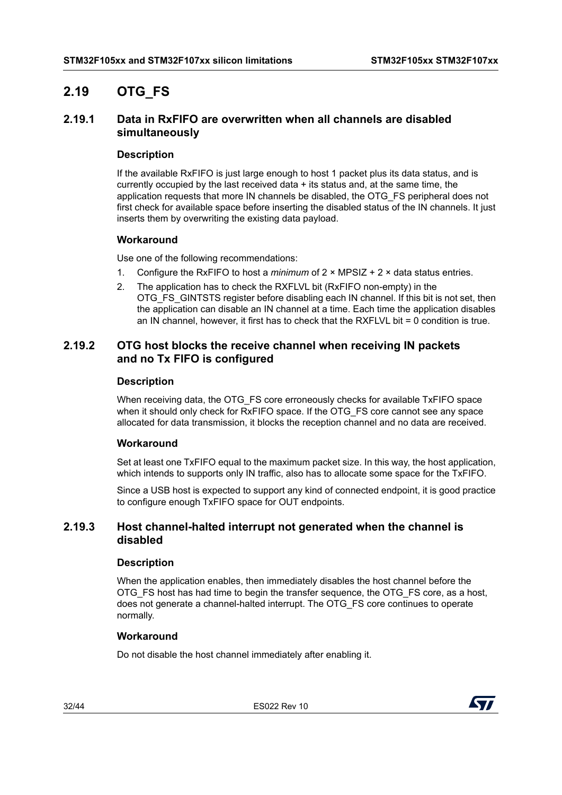# <span id="page-31-0"></span>**2.19 OTG\_FS**

# <span id="page-31-1"></span>**2.19.1 Data in RxFIFO are overwritten when all channels are disabled simultaneously**

#### **Description**

If the available RxFIFO is just large enough to host 1 packet plus its data status, and is currently occupied by the last received data + its status and, at the same time, the application requests that more IN channels be disabled, the OTG\_FS peripheral does not first check for available space before inserting the disabled status of the IN channels. It just inserts them by overwriting the existing data payload.

## **Workaround**

Use one of the following recommendations:

- 1. Configure the RxFIFO to host a *minimum* of 2 × MPSIZ + 2 × data status entries.
- 2. The application has to check the RXFLVL bit (RxFIFO non-empty) in the OTG\_FS\_GINTSTS register before disabling each IN channel. If this bit is not set, then the application can disable an IN channel at a time. Each time the application disables an IN channel, however, it first has to check that the RXFLVL bit = 0 condition is true.

# <span id="page-31-2"></span>**2.19.2 OTG host blocks the receive channel when receiving IN packets and no Tx FIFO is configured**

#### **Description**

When receiving data, the OTG\_FS core erroneously checks for available TxFIFO space when it should only check for RxFIFO space. If the OTG\_FS core cannot see any space allocated for data transmission, it blocks the reception channel and no data are received.

## **Workaround**

Set at least one TxFIFO equal to the maximum packet size. In this way, the host application, which intends to supports only IN traffic, also has to allocate some space for the TxFIFO.

Since a USB host is expected to support any kind of connected endpoint, it is good practice to configure enough TxFIFO space for OUT endpoints.

# <span id="page-31-3"></span>**2.19.3 Host channel-halted interrupt not generated when the channel is disabled**

#### **Description**

When the application enables, then immediately disables the host channel before the OTG\_FS host has had time to begin the transfer sequence, the OTG\_FS core, as a host, does not generate a channel-halted interrupt. The OTG\_FS core continues to operate normally.

## **Workaround**

Do not disable the host channel immediately after enabling it.

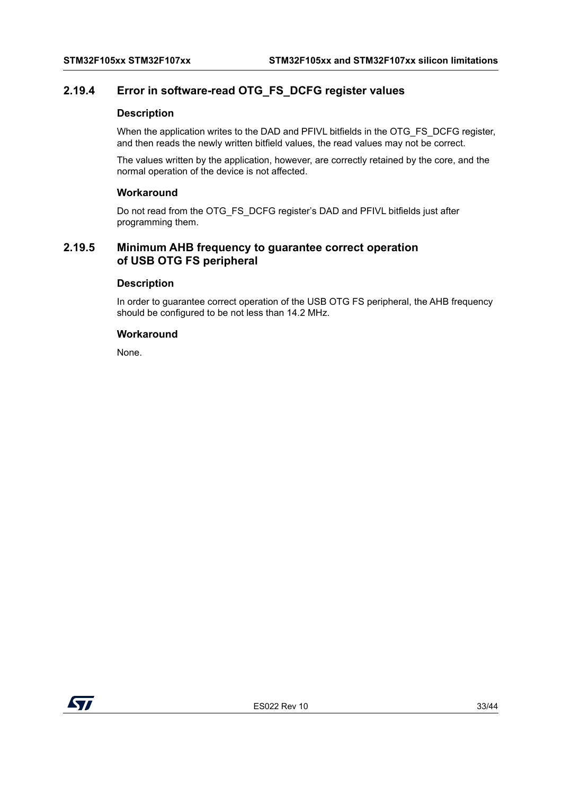# <span id="page-32-0"></span>**2.19.4 Error in software-read OTG\_FS\_DCFG register values**

#### **Description**

When the application writes to the DAD and PFIVL bitfields in the OTG\_FS\_DCFG register, and then reads the newly written bitfield values, the read values may not be correct.

The values written by the application, however, are correctly retained by the core, and the normal operation of the device is not affected.

#### **Workaround**

Do not read from the OTG\_FS\_DCFG register's DAD and PFIVL bitfields just after programming them.

# <span id="page-32-1"></span>**2.19.5 Minimum AHB frequency to guarantee correct operation of USB OTG FS peripheral**

#### **Description**

In order to guarantee correct operation of the USB OTG FS peripheral, the AHB frequency should be configured to be not less than 14.2 MHz.

#### **Workaround**

None.

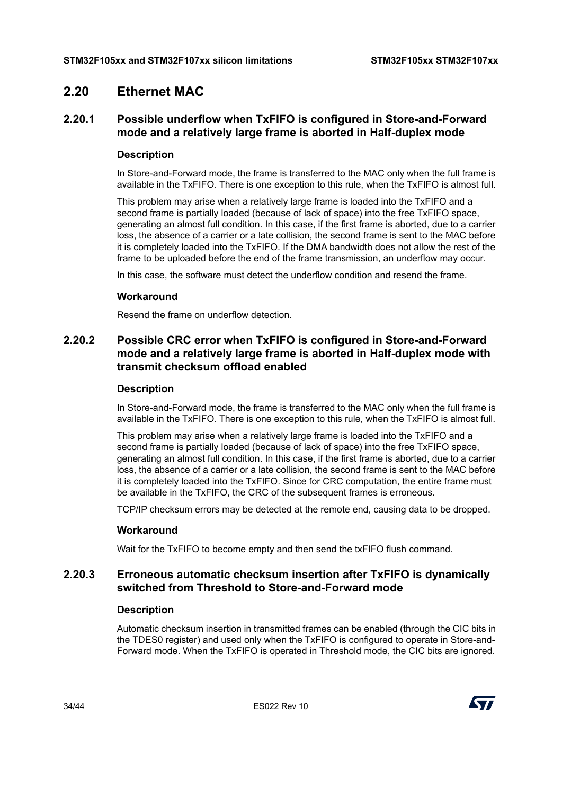# <span id="page-33-0"></span>**2.20 Ethernet MAC**

# <span id="page-33-1"></span>**2.20.1 Possible underflow when TxFIFO is configured in Store-and-Forward mode and a relatively large frame is aborted in Half-duplex mode**

## **Description**

In Store-and-Forward mode, the frame is transferred to the MAC only when the full frame is available in the TxFIFO. There is one exception to this rule, when the TxFIFO is almost full.

This problem may arise when a relatively large frame is loaded into the TxFIFO and a second frame is partially loaded (because of lack of space) into the free TxFIFO space, generating an almost full condition. In this case, if the first frame is aborted, due to a carrier loss, the absence of a carrier or a late collision, the second frame is sent to the MAC before it is completely loaded into the TxFIFO. If the DMA bandwidth does not allow the rest of the frame to be uploaded before the end of the frame transmission, an underflow may occur.

In this case, the software must detect the underflow condition and resend the frame.

#### **Workaround**

Resend the frame on underflow detection.

# <span id="page-33-2"></span>**2.20.2 Possible CRC error when TxFIFO is configured in Store-and-Forward mode and a relatively large frame is aborted in Half-duplex mode with transmit checksum offload enabled**

#### **Description**

In Store-and-Forward mode, the frame is transferred to the MAC only when the full frame is available in the TxFIFO. There is one exception to this rule, when the TxFIFO is almost full.

This problem may arise when a relatively large frame is loaded into the TxFIFO and a second frame is partially loaded (because of lack of space) into the free TxFIFO space, generating an almost full condition. In this case, if the first frame is aborted, due to a carrier loss, the absence of a carrier or a late collision, the second frame is sent to the MAC before it is completely loaded into the TxFIFO. Since for CRC computation, the entire frame must be available in the TxFIFO, the CRC of the subsequent frames is erroneous.

TCP/IP checksum errors may be detected at the remote end, causing data to be dropped.

## **Workaround**

Wait for the TxFIFO to become empty and then send the txFIFO flush command.

# <span id="page-33-3"></span>**2.20.3 Erroneous automatic checksum insertion after TxFIFO is dynamically switched from Threshold to Store-and-Forward mode**

#### **Description**

Automatic checksum insertion in transmitted frames can be enabled (through the CIC bits in the TDES0 register) and used only when the TxFIFO is configured to operate in Store-and-Forward mode. When the TxFIFO is operated in Threshold mode, the CIC bits are ignored.

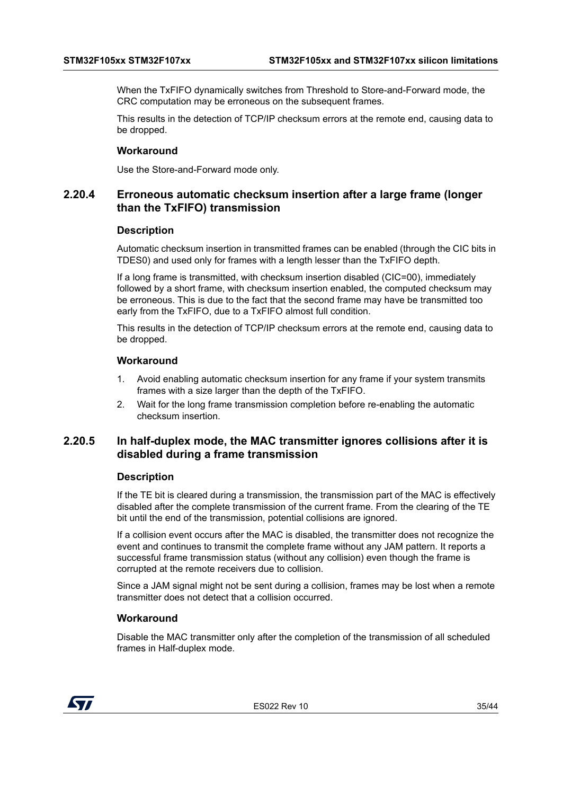When the TxFIFO dynamically switches from Threshold to Store-and-Forward mode, the CRC computation may be erroneous on the subsequent frames.

This results in the detection of TCP/IP checksum errors at the remote end, causing data to be dropped.

#### **Workaround**

Use the Store-and-Forward mode only.

# <span id="page-34-0"></span>**2.20.4 Erroneous automatic checksum insertion after a large frame (longer than the TxFIFO) transmission**

#### **Description**

Automatic checksum insertion in transmitted frames can be enabled (through the CIC bits in TDES0) and used only for frames with a length lesser than the TxFIFO depth.

If a long frame is transmitted, with checksum insertion disabled (CIC=00), immediately followed by a short frame, with checksum insertion enabled, the computed checksum may be erroneous. This is due to the fact that the second frame may have be transmitted too early from the TxFIFO, due to a TxFIFO almost full condition.

This results in the detection of TCP/IP checksum errors at the remote end, causing data to be dropped.

#### **Workaround**

- 1. Avoid enabling automatic checksum insertion for any frame if your system transmits frames with a size larger than the depth of the TxFIFO.
- 2. Wait for the long frame transmission completion before re-enabling the automatic checksum insertion.

# <span id="page-34-1"></span>**2.20.5 In half-duplex mode, the MAC transmitter ignores collisions after it is disabled during a frame transmission**

#### **Description**

If the TE bit is cleared during a transmission, the transmission part of the MAC is effectively disabled after the complete transmission of the current frame. From the clearing of the TE bit until the end of the transmission, potential collisions are ignored.

If a collision event occurs after the MAC is disabled, the transmitter does not recognize the event and continues to transmit the complete frame without any JAM pattern. It reports a successful frame transmission status (without any collision) even though the frame is corrupted at the remote receivers due to collision.

Since a JAM signal might not be sent during a collision, frames may be lost when a remote transmitter does not detect that a collision occurred.

#### **Workaround**

Disable the MAC transmitter only after the completion of the transmission of all scheduled frames in Half-duplex mode.

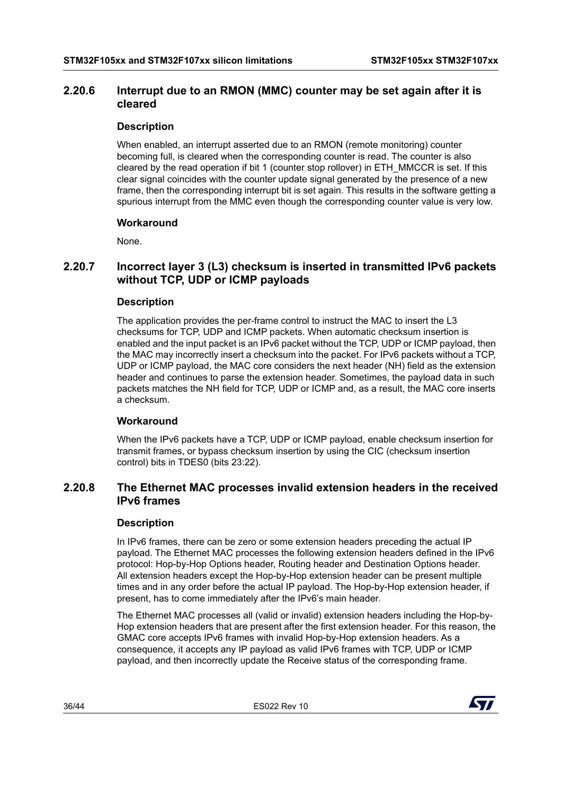# <span id="page-35-0"></span>**2.20.6 Interrupt due to an RMON (MMC) counter may be set again after it is cleared**

# **Description**

When enabled, an interrupt asserted due to an RMON (remote monitoring) counter becoming full, is cleared when the corresponding counter is read. The counter is also cleared by the read operation if bit 1 (counter stop rollover) in ETH\_MMCCR is set. If this clear signal coincides with the counter update signal generated by the presence of a new frame, then the corresponding interrupt bit is set again. This results in the software getting a spurious interrupt from the MMC even though the corresponding counter value is very low.

## **Workaround**

None.

# <span id="page-35-1"></span>**2.20.7 Incorrect layer 3 (L3) checksum is inserted in transmitted IPv6 packets without TCP, UDP or ICMP payloads**

## **Description**

The application provides the per-frame control to instruct the MAC to insert the L3 checksums for TCP, UDP and ICMP packets. When automatic checksum insertion is enabled and the input packet is an IPv6 packet without the TCP, UDP or ICMP payload, then the MAC may incorrectly insert a checksum into the packet. For IPv6 packets without a TCP, UDP or ICMP payload, the MAC core considers the next header (NH) field as the extension header and continues to parse the extension header. Sometimes, the payload data in such packets matches the NH field for TCP, UDP or ICMP and, as a result, the MAC core inserts a checksum.

## **Workaround**

When the IPv6 packets have a TCP, UDP or ICMP payload, enable checksum insertion for transmit frames, or bypass checksum insertion by using the CIC (checksum insertion control) bits in TDES0 (bits 23:22).

# <span id="page-35-2"></span>**2.20.8 The Ethernet MAC processes invalid extension headers in the received IPv6 frames**

## **Description**

In IPv6 frames, there can be zero or some extension headers preceding the actual IP payload. The Ethernet MAC processes the following extension headers defined in the IPv6 protocol: Hop-by-Hop Options header, Routing header and Destination Options header. All extension headers except the Hop-by-Hop extension header can be present multiple times and in any order before the actual IP payload. The Hop-by-Hop extension header, if present, has to come immediately after the IPv6's main header.

The Ethernet MAC processes all (valid or invalid) extension headers including the Hop-by-Hop extension headers that are present after the first extension header. For this reason, the GMAC core accepts IPv6 frames with invalid Hop-by-Hop extension headers. As a consequence, it accepts any IP payload as valid IPv6 frames with TCP, UDP or ICMP payload, and then incorrectly update the Receive status of the corresponding frame.



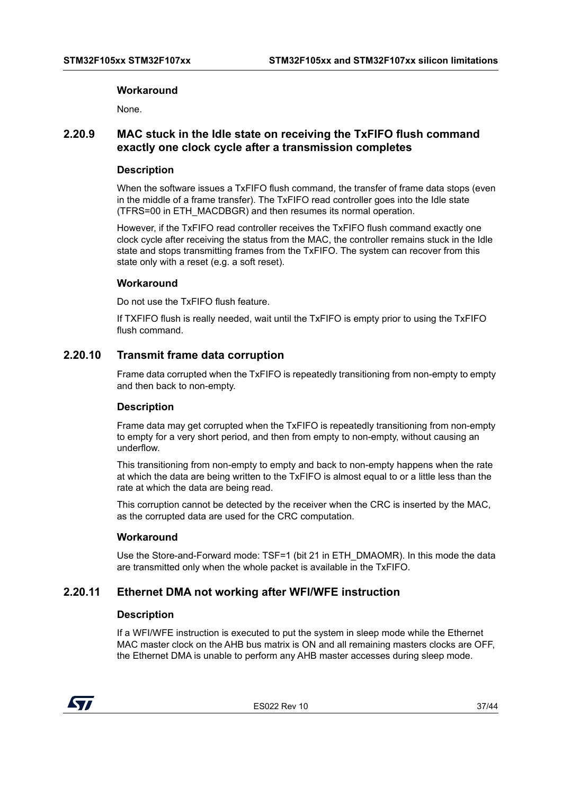#### **Workaround**

None.

# <span id="page-36-0"></span>**2.20.9 MAC stuck in the Idle state on receiving the TxFIFO flush command exactly one clock cycle after a transmission completes**

#### **Description**

When the software issues a TxFIFO flush command, the transfer of frame data stops (even in the middle of a frame transfer). The TxFIFO read controller goes into the Idle state (TFRS=00 in ETH\_MACDBGR) and then resumes its normal operation.

However, if the TxFIFO read controller receives the TxFIFO flush command exactly one clock cycle after receiving the status from the MAC, the controller remains stuck in the Idle state and stops transmitting frames from the TxFIFO. The system can recover from this state only with a reset (e.g. a soft reset).

#### **Workaround**

Do not use the TxFIFO flush feature.

If TXFIFO flush is really needed, wait until the TxFIFO is empty prior to using the TxFIFO flush command.

# <span id="page-36-1"></span>**2.20.10 Transmit frame data corruption**

Frame data corrupted when the TxFIFO is repeatedly transitioning from non-empty to empty and then back to non-empty.

#### **Description**

Frame data may get corrupted when the TxFIFO is repeatedly transitioning from non-empty to empty for a very short period, and then from empty to non-empty, without causing an underflow.

This transitioning from non-empty to empty and back to non-empty happens when the rate at which the data are being written to the TxFIFO is almost equal to or a little less than the rate at which the data are being read.

This corruption cannot be detected by the receiver when the CRC is inserted by the MAC, as the corrupted data are used for the CRC computation.

#### **Workaround**

Use the Store-and-Forward mode: TSF=1 (bit 21 in ETH\_DMAOMR). In this mode the data are transmitted only when the whole packet is available in the TxFIFO.

# <span id="page-36-2"></span>**2.20.11 Ethernet DMA not working after WFI/WFE instruction**

#### **Description**

If a WFI/WFE instruction is executed to put the system in sleep mode while the Ethernet MAC master clock on the AHB bus matrix is ON and all remaining masters clocks are OFF, the Ethernet DMA is unable to perform any AHB master accesses during sleep mode.



ES022 Rev 10 37/44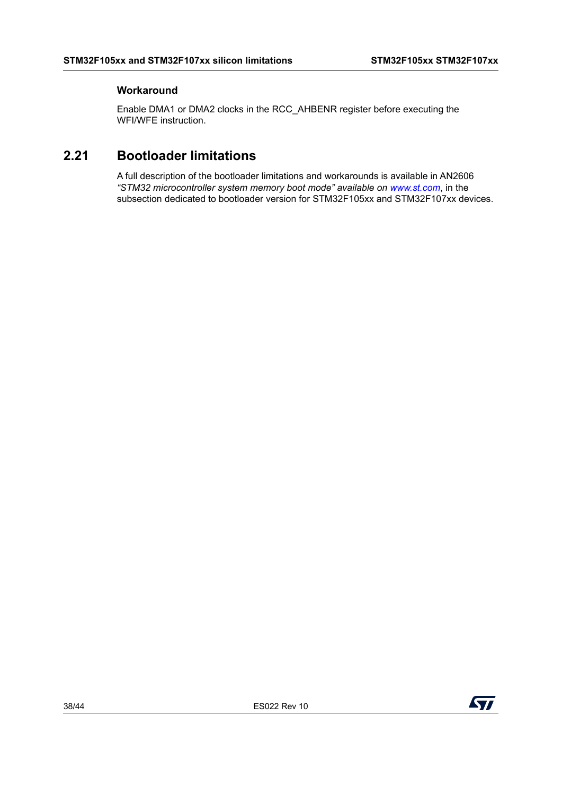# **Workaround**

Enable DMA1 or DMA2 clocks in the RCC\_AHBENR register before executing the WFI/WFE instruction.

# <span id="page-37-0"></span>**2.21 Bootloader limitations**

A full description of the bootloader limitations and workarounds is available in AN2606 *"STM32 microcontroller system memory boot mode" available on www.st.com*, in the subsection dedicated to bootloader version for STM32F105xx and STM32F107xx devices.

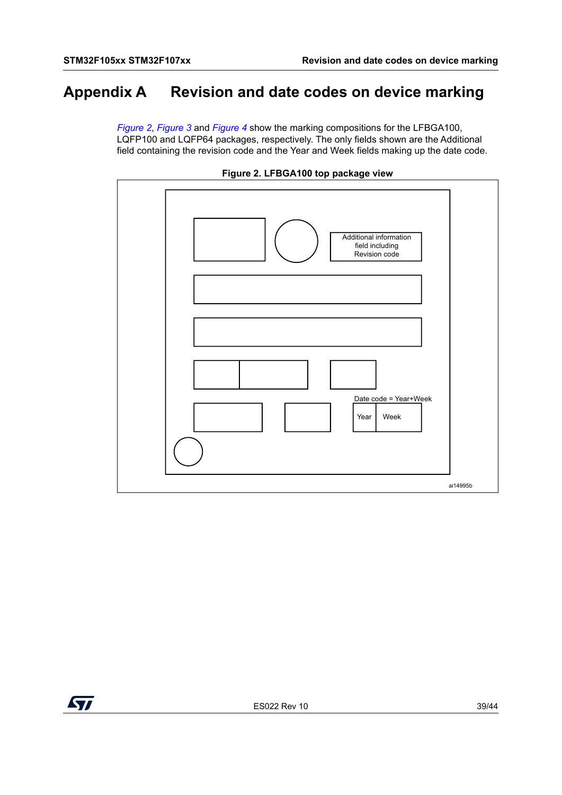# <span id="page-38-1"></span>**Appendix A Revision and date codes on device marking**

<span id="page-38-0"></span>*[Figure](#page-38-2) 2*, *[Figure](#page-39-0) 3* and *[Figure](#page-40-0) 4* show the marking compositions for the LFBGA100, LQFP100 and LQFP64 packages, respectively. The only fields shown are the Additional field containing the revision code and the Year and Week fields making up the date code.

<span id="page-38-2"></span>



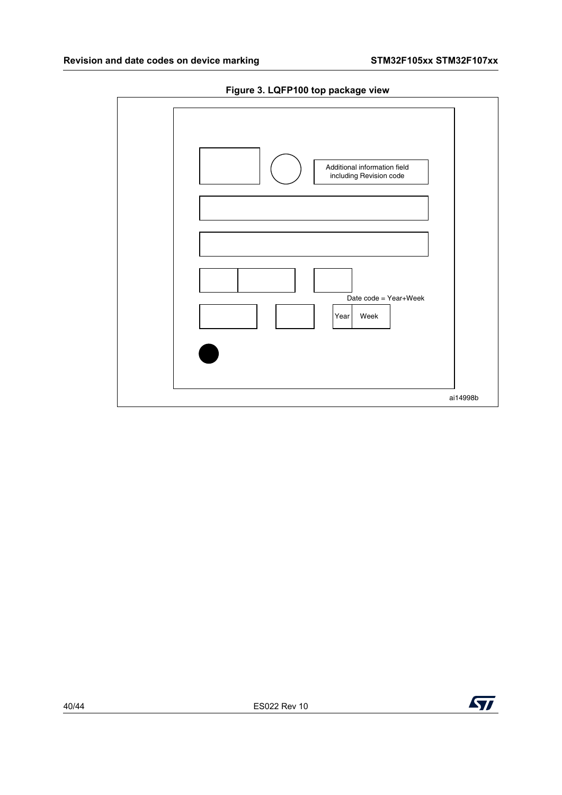<span id="page-39-0"></span>

**Figure 3. LQFP100 top package view**

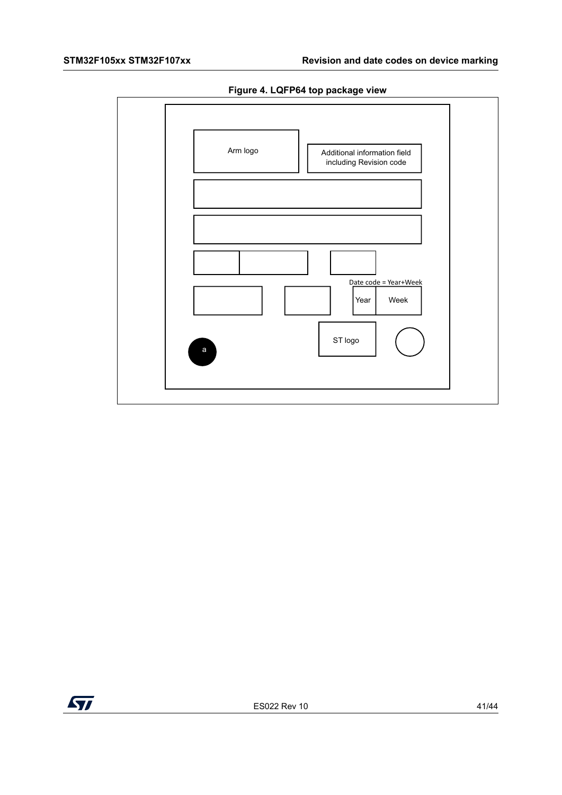

<span id="page-40-0"></span>

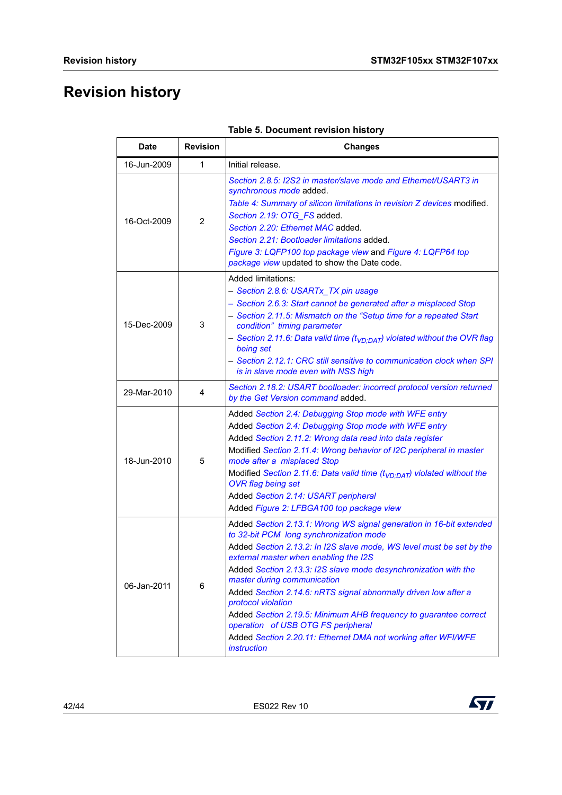# <span id="page-41-0"></span>**Revision history**

<span id="page-41-1"></span>

| <b>Date</b> | <b>Revision</b> | <b>Changes</b>                                                                                                                                                                                                                                                                                                                                                                                                                                                                                                                                                                                                              |  |  |
|-------------|-----------------|-----------------------------------------------------------------------------------------------------------------------------------------------------------------------------------------------------------------------------------------------------------------------------------------------------------------------------------------------------------------------------------------------------------------------------------------------------------------------------------------------------------------------------------------------------------------------------------------------------------------------------|--|--|
| 16-Jun-2009 | 1               | Initial release.                                                                                                                                                                                                                                                                                                                                                                                                                                                                                                                                                                                                            |  |  |
| 16-Oct-2009 | $\overline{2}$  | Section 2.8.5: I2S2 in master/slave mode and Ethernet/USART3 in<br>synchronous mode added.<br>Table 4: Summary of silicon limitations in revision Z devices modified.<br>Section 2.19: OTG_FS added.<br>Section 2.20: Ethernet MAC added.<br>Section 2.21: Bootloader limitations added.<br>Figure 3: LQFP100 top package view and Figure 4: LQFP64 top<br>package view updated to show the Date code.                                                                                                                                                                                                                      |  |  |
| 15-Dec-2009 | 3               | Added limitations:<br>- Section 2.8.6: USARTx_TX pin usage<br>- Section 2.6.3: Start cannot be generated after a misplaced Stop<br>- Section 2.11.5: Mismatch on the "Setup time for a repeated Start<br>condition" timing parameter<br>- Section 2.11.6: Data valid time (t <sub>VD:DAT</sub> ) violated without the OVR flag<br>being set<br>- Section 2.12.1: CRC still sensitive to communication clock when SPI<br>is in slave mode even with NSS high                                                                                                                                                                 |  |  |
| 29-Mar-2010 | 4               | Section 2.18.2: USART bootloader: incorrect protocol version returned<br>by the Get Version command added.                                                                                                                                                                                                                                                                                                                                                                                                                                                                                                                  |  |  |
| 18-Jun-2010 | 5               | Added Section 2.4: Debugging Stop mode with WFE entry<br>Added Section 2.4: Debugging Stop mode with WFE entry<br>Added Section 2.11.2: Wrong data read into data register<br>Modified Section 2.11.4: Wrong behavior of I2C peripheral in master<br>mode after a misplaced Stop<br>Modified Section 2.11.6: Data valid time ( $t_{VD:DAT}$ ) violated without the<br><b>OVR</b> flag being set<br>Added Section 2.14: USART peripheral<br>Added Figure 2: LFBGA100 top package view                                                                                                                                        |  |  |
| 06-Jan-2011 | 6               | Added Section 2.13.1: Wrong WS signal generation in 16-bit extended<br>to 32-bit PCM long synchronization mode<br>Added Section 2.13.2: In I2S slave mode, WS level must be set by the<br>external master when enabling the I2S<br>Added Section 2.13.3: I2S slave mode desynchronization with the<br>master during communication<br>Added Section 2.14.6: nRTS signal abnormally driven low after a<br>protocol violation<br>Added Section 2.19.5: Minimum AHB frequency to guarantee correct<br>operation of USB OTG FS peripheral<br>Added Section 2.20.11: Ethernet DMA not working after WFI/WFE<br><i>instruction</i> |  |  |

|  | Table 5. Document revision history |  |  |
|--|------------------------------------|--|--|
|--|------------------------------------|--|--|



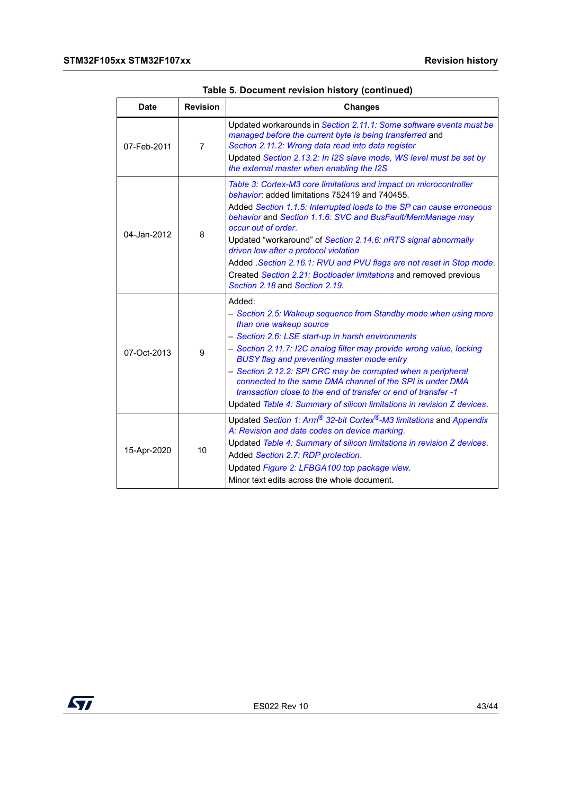| Date                                                                                                                                                                                                    | <b>Revision</b> | <b>Changes</b>                                                                                                                                                                                                                                                                                                                                                                                                                                                                                                                                                              |  |  |
|---------------------------------------------------------------------------------------------------------------------------------------------------------------------------------------------------------|-----------------|-----------------------------------------------------------------------------------------------------------------------------------------------------------------------------------------------------------------------------------------------------------------------------------------------------------------------------------------------------------------------------------------------------------------------------------------------------------------------------------------------------------------------------------------------------------------------------|--|--|
| 07-Feb-2011                                                                                                                                                                                             | 7               | Updated workarounds in Section 2.11.1: Some software events must be<br>managed before the current byte is being transferred and<br>Section 2.11.2: Wrong data read into data register<br>Updated Section 2.13.2: In I2S slave mode, WS level must be set by<br>the external master when enabling the I2S                                                                                                                                                                                                                                                                    |  |  |
| 04-Jan-2012                                                                                                                                                                                             | 8               | Table 3: Cortex-M3 core limitations and impact on microcontroller<br>behavior: added limitations 752419 and 740455.<br>Added Section 1.1.5: Interrupted loads to the SP can cause erroneous<br>behavior and Section 1.1.6: SVC and BusFault/MemManage may<br>occur out of order.<br>Updated "workaround" of Section 2.14.6: nRTS signal abnormally<br>driven low after a protocol violation<br>Added . Section 2.16.1: RVU and PVU flags are not reset in Stop mode.<br>Created Section 2.21: Bootloader limitations and removed previous<br>Section 2.18 and Section 2.19. |  |  |
| 07-Oct-2013                                                                                                                                                                                             | 9               | Added:<br>- Section 2.5: Wakeup sequence from Standby mode when using more<br>than one wakeup source<br>- Section 2.6: LSE start-up in harsh environments<br>- Section 2.11.7: I2C analog filter may provide wrong value, locking<br><b>BUSY flag and preventing master mode entry</b><br>- Section 2.12.2: SPI CRC may be corrupted when a peripheral<br>connected to the same DMA channel of the SPI is under DMA<br>transaction close to the end of transfer or end of transfer -1<br>Updated Table 4: Summary of silicon limitations in revision Z devices.             |  |  |
| A: Revision and date codes on device marking.<br>10<br>15-Apr-2020<br>Added Section 2.7: RDP protection.<br>Updated Figure 2: LFBGA100 top package view.<br>Minor text edits across the whole document. |                 | Updated Section 1: Arm <sup>®</sup> 32-bit Cortex <sup>®</sup> -M3 limitations and Appendix<br>Updated Table 4: Summary of silicon limitations in revision Z devices.                                                                                                                                                                                                                                                                                                                                                                                                       |  |  |

| Table 5. Document revision history (continued) |  |  |  |  |  |
|------------------------------------------------|--|--|--|--|--|
|------------------------------------------------|--|--|--|--|--|